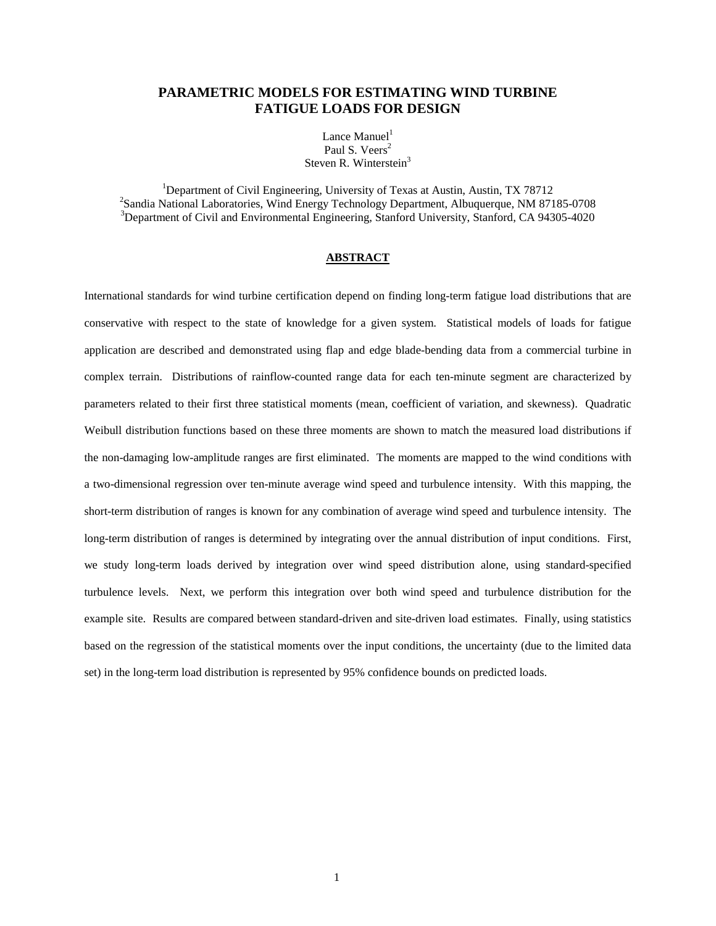# **PARAMETRIC MODELS FOR ESTIMATING WIND TURBINE FATIGUE LOADS FOR DESIGN**

Lance Manuel<sup>1</sup> Paul S. Veers<sup>2</sup> Steven R. Winterstein<sup>3</sup>

<sup>1</sup>Department of Civil Engineering, University of Texas at Austin, Austin, TX 78712 <sup>2</sup>Sandia National Laboratories, Wind Energy Technology Department, Albuquerque, NM 87185-0708 <sup>3</sup>Department of Civil and Environmental Engineering, Stanford University, Stanford, CA 94305-4020

# **ABSTRACT**

International standards for wind turbine certification depend on finding long-term fatigue load distributions that are conservative with respect to the state of knowledge for a given system. Statistical models of loads for fatigue application are described and demonstrated using flap and edge blade-bending data from a commercial turbine in complex terrain. Distributions of rainflow-counted range data for each ten-minute segment are characterized by parameters related to their first three statistical moments (mean, coefficient of variation, and skewness). Quadratic Weibull distribution functions based on these three moments are shown to match the measured load distributions if the non-damaging low-amplitude ranges are first eliminated. The moments are mapped to the wind conditions with a two-dimensional regression over ten-minute average wind speed and turbulence intensity. With this mapping, the short-term distribution of ranges is known for any combination of average wind speed and turbulence intensity. The long-term distribution of ranges is determined by integrating over the annual distribution of input conditions. First, we study long-term loads derived by integration over wind speed distribution alone, using standard-specified turbulence levels. Next, we perform this integration over both wind speed and turbulence distribution for the example site. Results are compared between standard-driven and site-driven load estimates. Finally, using statistics based on the regression of the statistical moments over the input conditions, the uncertainty (due to the limited data set) in the long-term load distribution is represented by 95% confidence bounds on predicted loads.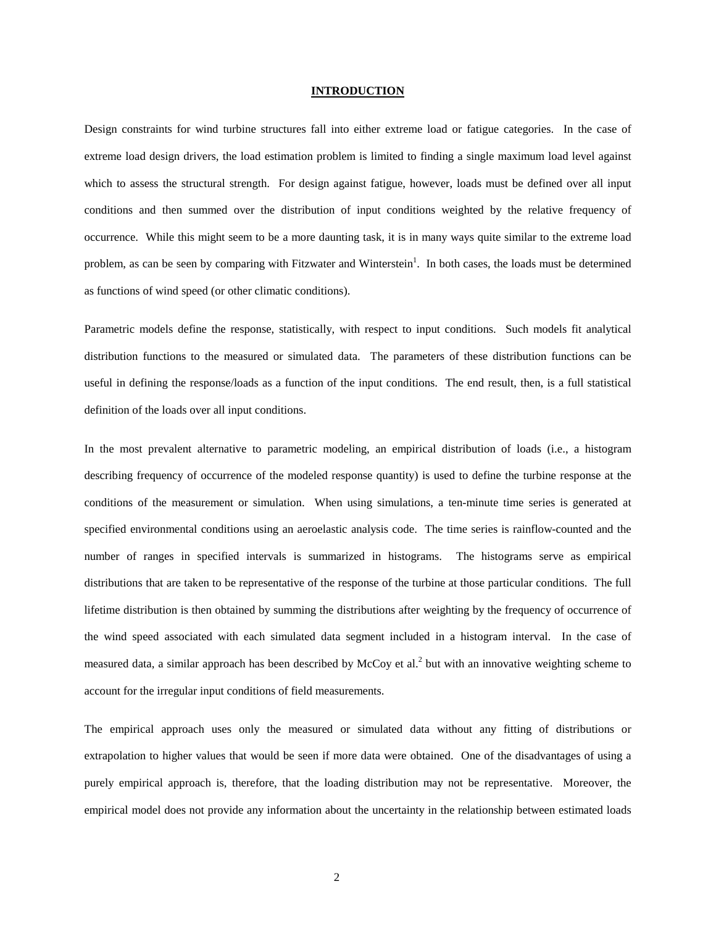#### **INTRODUCTION**

Design constraints for wind turbine structures fall into either extreme load or fatigue categories. In the case of extreme load design drivers, the load estimation problem is limited to finding a single maximum load level against which to assess the structural strength. For design against fatigue, however, loads must be defined over all input conditions and then summed over the distribution of input conditions weighted by the relative frequency of occurrence. While this might seem to be a more daunting task, it is in many ways quite similar to the extreme load problem, as can be seen by comparing with Fitzwater and Winterstein<sup>1</sup>. In both cases, the loads must be determined as functions of wind speed (or other climatic conditions).

Parametric models define the response, statistically, with respect to input conditions. Such models fit analytical distribution functions to the measured or simulated data. The parameters of these distribution functions can be useful in defining the response/loads as a function of the input conditions. The end result, then, is a full statistical definition of the loads over all input conditions.

In the most prevalent alternative to parametric modeling, an empirical distribution of loads (i.e., a histogram describing frequency of occurrence of the modeled response quantity) is used to define the turbine response at the conditions of the measurement or simulation. When using simulations, a ten-minute time series is generated at specified environmental conditions using an aeroelastic analysis code. The time series is rainflow-counted and the number of ranges in specified intervals is summarized in histograms. The histograms serve as empirical distributions that are taken to be representative of the response of the turbine at those particular conditions. The full lifetime distribution is then obtained by summing the distributions after weighting by the frequency of occurrence of the wind speed associated with each simulated data segment included in a histogram interval. In the case of measured data, a similar approach has been described by McCoy et al.<sup>2</sup> but with an innovative weighting scheme to account for the irregular input conditions of field measurements.

The empirical approach uses only the measured or simulated data without any fitting of distributions or extrapolation to higher values that would be seen if more data were obtained. One of the disadvantages of using a purely empirical approach is, therefore, that the loading distribution may not be representative. Moreover, the empirical model does not provide any information about the uncertainty in the relationship between estimated loads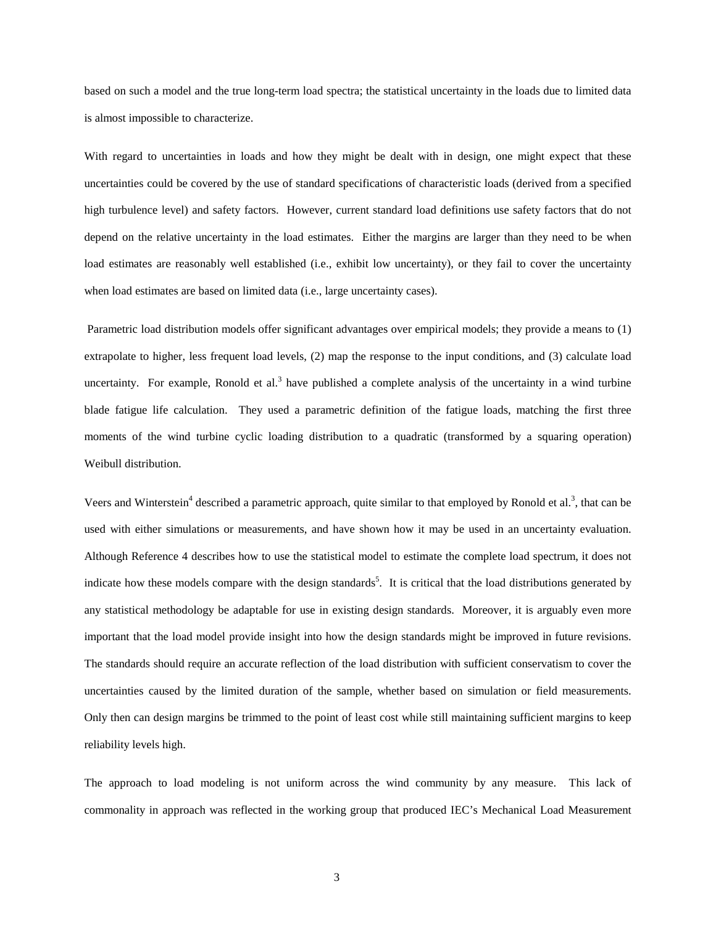based on such a model and the true long-term load spectra; the statistical uncertainty in the loads due to limited data is almost impossible to characterize.

With regard to uncertainties in loads and how they might be dealt with in design, one might expect that these uncertainties could be covered by the use of standard specifications of characteristic loads (derived from a specified high turbulence level) and safety factors. However, current standard load definitions use safety factors that do not depend on the relative uncertainty in the load estimates. Either the margins are larger than they need to be when load estimates are reasonably well established (i.e., exhibit low uncertainty), or they fail to cover the uncertainty when load estimates are based on limited data (i.e., large uncertainty cases).

Parametric load distribution models offer significant advantages over empirical models; they provide a means to (1) extrapolate to higher, less frequent load levels, (2) map the response to the input conditions, and (3) calculate load uncertainty. For example, Ronold et al.<sup>3</sup> have published a complete analysis of the uncertainty in a wind turbine blade fatigue life calculation. They used a parametric definition of the fatigue loads, matching the first three moments of the wind turbine cyclic loading distribution to a quadratic (transformed by a squaring operation) Weibull distribution.

Veers and Winterstein<sup>4</sup> described a parametric approach, quite similar to that employed by Ronold et al.<sup>3</sup>, that can be used with either simulations or measurements, and have shown how it may be used in an uncertainty evaluation. Although Reference 4 describes how to use the statistical model to estimate the complete load spectrum, it does not indicate how these models compare with the design standards<sup>5</sup>. It is critical that the load distributions generated by any statistical methodology be adaptable for use in existing design standards. Moreover, it is arguably even more important that the load model provide insight into how the design standards might be improved in future revisions. The standards should require an accurate reflection of the load distribution with sufficient conservatism to cover the uncertainties caused by the limited duration of the sample, whether based on simulation or field measurements. Only then can design margins be trimmed to the point of least cost while still maintaining sufficient margins to keep reliability levels high.

The approach to load modeling is not uniform across the wind community by any measure. This lack of commonality in approach was reflected in the working group that produced IEC's Mechanical Load Measurement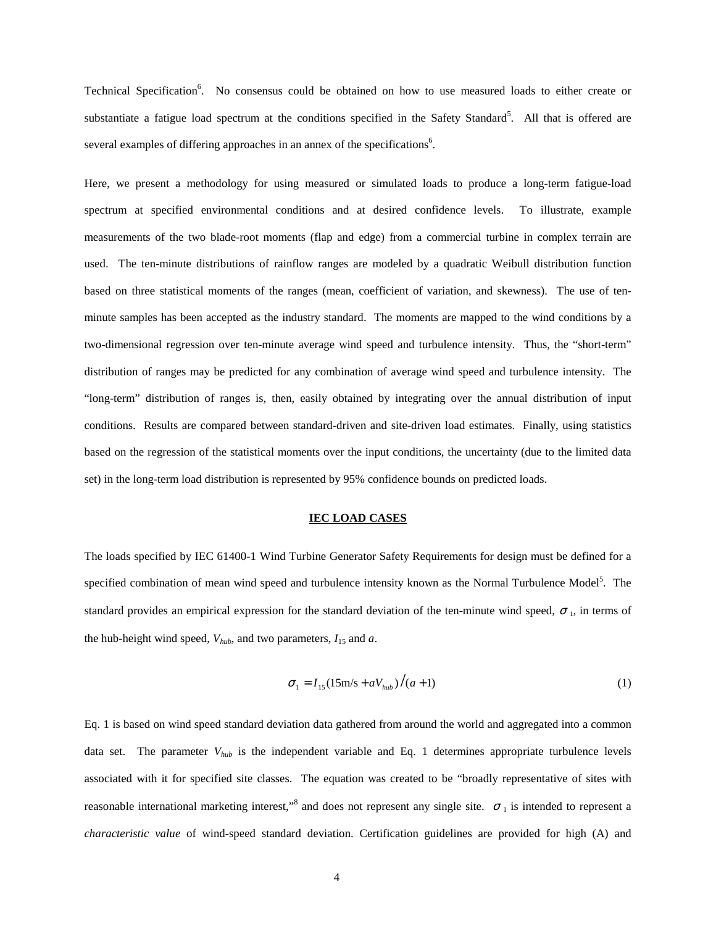Technical Specification<sup>6</sup>. No consensus could be obtained on how to use measured loads to either create or substantiate a fatigue load spectrum at the conditions specified in the Safety Standard<sup>5</sup>. All that is offered are several examples of differing approaches in an annex of the specifications<sup>6</sup>.

Here, we present a methodology for using measured or simulated loads to produce a long-term fatigue-load spectrum at specified environmental conditions and at desired confidence levels. To illustrate, example measurements of the two blade-root moments (flap and edge) from a commercial turbine in complex terrain are used. The ten-minute distributions of rainflow ranges are modeled by a quadratic Weibull distribution function based on three statistical moments of the ranges (mean, coefficient of variation, and skewness). The use of tenminute samples has been accepted as the industry standard. The moments are mapped to the wind conditions by a two-dimensional regression over ten-minute average wind speed and turbulence intensity. Thus, the "short-term" distribution of ranges may be predicted for any combination of average wind speed and turbulence intensity. The "long-term" distribution of ranges is, then, easily obtained by integrating over the annual distribution of input conditions. Results are compared between standard-driven and site-driven load estimates. Finally, using statistics based on the regression of the statistical moments over the input conditions, the uncertainty (due to the limited data set) in the long-term load distribution is represented by 95% confidence bounds on predicted loads.

#### **IEC LOAD CASES**

The loads specified by IEC 61400-1 Wind Turbine Generator Safety Requirements for design must be defined for a specified combination of mean wind speed and turbulence intensity known as the Normal Turbulence Model<sup>5</sup>. The standard provides an empirical expression for the standard deviation of the ten-minute wind speed,  $\sigma_1$ , in terms of the hub-height wind speed,  $V_{\mu\nu}$ , and two parameters,  $I_{15}$  and  $a$ .

$$
\sigma_1 = I_{15} (15 \text{m/s} + aV_{\text{hub}}) / (a+1)
$$
 (1)

Eq. 1 is based on wind speed standard deviation data gathered from around the world and aggregated into a common data set. The parameter *Vhub* is the independent variable and Eq. 1 determines appropriate turbulence levels associated with it for specified site classes. The equation was created to be "broadly representative of sites with reasonable international marketing interest,"<sup>8</sup> and does not represent any single site.  $\sigma_1$  is intended to represent a *characteristic value* of wind-speed standard deviation. Certification guidelines are provided for high (A) and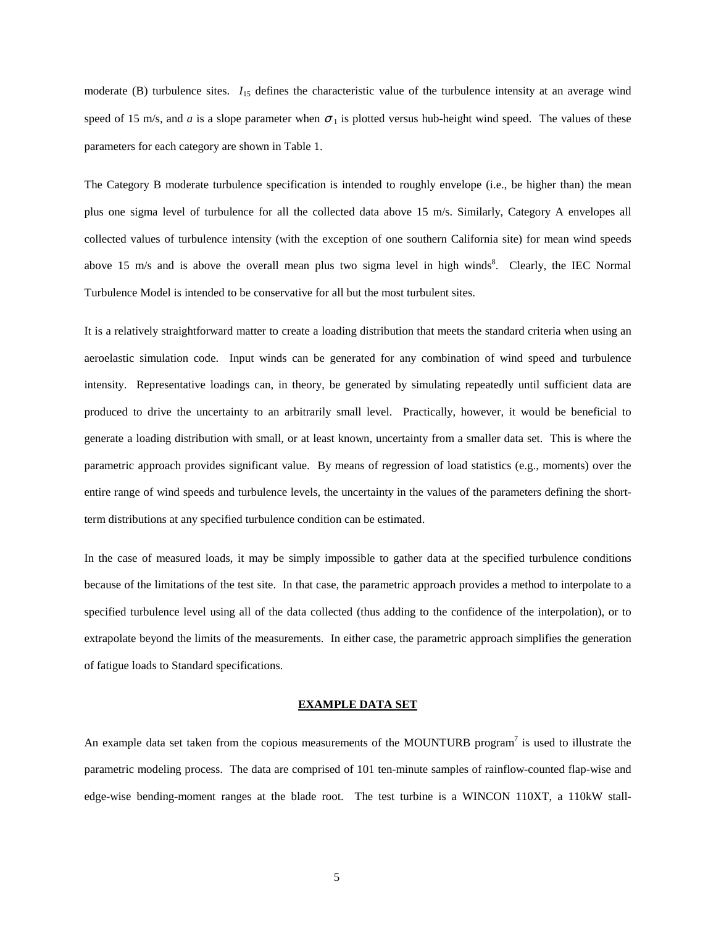moderate (B) turbulence sites.  $I_{15}$  defines the characteristic value of the turbulence intensity at an average wind speed of 15 m/s, and *a* is a slope parameter when  $\sigma_1$  is plotted versus hub-height wind speed. The values of these parameters for each category are shown in Table 1.

The Category B moderate turbulence specification is intended to roughly envelope (i.e., be higher than) the mean plus one sigma level of turbulence for all the collected data above 15 m/s. Similarly, Category A envelopes all collected values of turbulence intensity (with the exception of one southern California site) for mean wind speeds above 15 m/s and is above the overall mean plus two sigma level in high winds<sup>8</sup>. Clearly, the IEC Normal Turbulence Model is intended to be conservative for all but the most turbulent sites.

It is a relatively straightforward matter to create a loading distribution that meets the standard criteria when using an aeroelastic simulation code. Input winds can be generated for any combination of wind speed and turbulence intensity. Representative loadings can, in theory, be generated by simulating repeatedly until sufficient data are produced to drive the uncertainty to an arbitrarily small level. Practically, however, it would be beneficial to generate a loading distribution with small, or at least known, uncertainty from a smaller data set. This is where the parametric approach provides significant value. By means of regression of load statistics (e.g., moments) over the entire range of wind speeds and turbulence levels, the uncertainty in the values of the parameters defining the shortterm distributions at any specified turbulence condition can be estimated.

In the case of measured loads, it may be simply impossible to gather data at the specified turbulence conditions because of the limitations of the test site. In that case, the parametric approach provides a method to interpolate to a specified turbulence level using all of the data collected (thus adding to the confidence of the interpolation), or to extrapolate beyond the limits of the measurements. In either case, the parametric approach simplifies the generation of fatigue loads to Standard specifications.

#### **EXAMPLE DATA SET**

An example data set taken from the copious measurements of the MOUNTURB program<sup>7</sup> is used to illustrate the parametric modeling process. The data are comprised of 101 ten-minute samples of rainflow-counted flap-wise and edge-wise bending-moment ranges at the blade root. The test turbine is a WINCON 110XT, a 110kW stall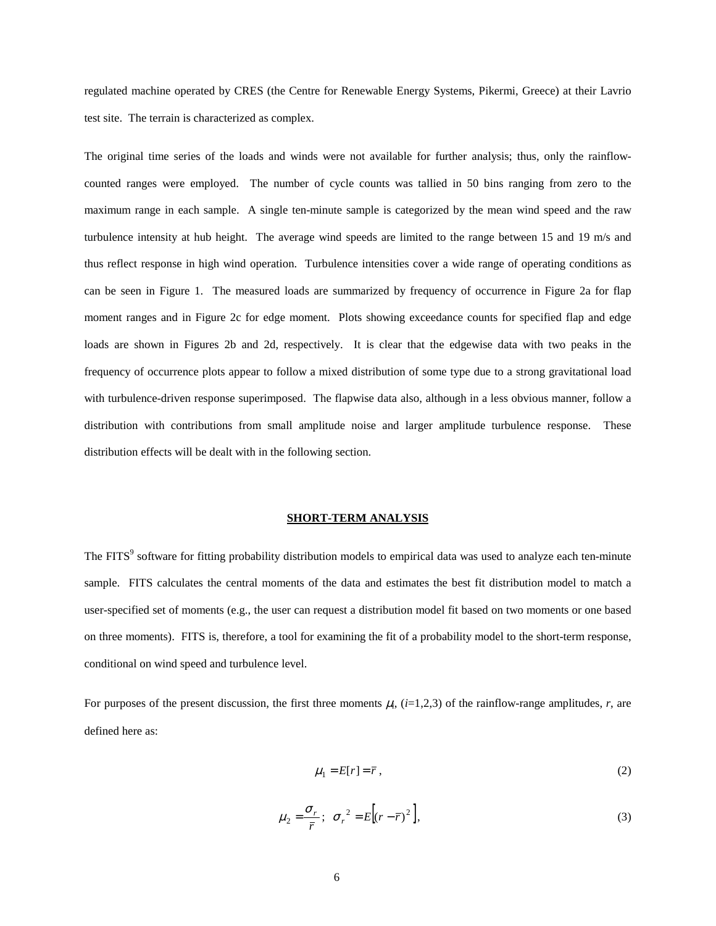regulated machine operated by CRES (the Centre for Renewable Energy Systems, Pikermi, Greece) at their Lavrio test site. The terrain is characterized as complex.

The original time series of the loads and winds were not available for further analysis; thus, only the rainflowcounted ranges were employed. The number of cycle counts was tallied in 50 bins ranging from zero to the maximum range in each sample. A single ten-minute sample is categorized by the mean wind speed and the raw turbulence intensity at hub height. The average wind speeds are limited to the range between 15 and 19 m/s and thus reflect response in high wind operation. Turbulence intensities cover a wide range of operating conditions as can be seen in Figure 1. The measured loads are summarized by frequency of occurrence in Figure 2a for flap moment ranges and in Figure 2c for edge moment. Plots showing exceedance counts for specified flap and edge loads are shown in Figures 2b and 2d, respectively. It is clear that the edgewise data with two peaks in the frequency of occurrence plots appear to follow a mixed distribution of some type due to a strong gravitational load with turbulence-driven response superimposed. The flapwise data also, although in a less obvious manner, follow a distribution with contributions from small amplitude noise and larger amplitude turbulence response. These distribution effects will be dealt with in the following section.

#### **SHORT-TERM ANALYSIS**

The FITS<sup>9</sup> software for fitting probability distribution models to empirical data was used to analyze each ten-minute sample. FITS calculates the central moments of the data and estimates the best fit distribution model to match a user-specified set of moments (e.g., the user can request a distribution model fit based on two moments or one based on three moments). FITS is, therefore, a tool for examining the fit of a probability model to the short-term response, conditional on wind speed and turbulence level.

For purposes of the present discussion, the first three moments  $\mu_i$ ,  $(i=1,2,3)$  of the rainflow-range amplitudes, *r*, are defined here as:

$$
\mu_1 = E[r] = \overline{r},\tag{2}
$$

$$
\mu_2 = \frac{\sigma_r}{\overline{r}}; \quad \sigma_r^2 = E\Big[(r - \overline{r})^2\Big],\tag{3}
$$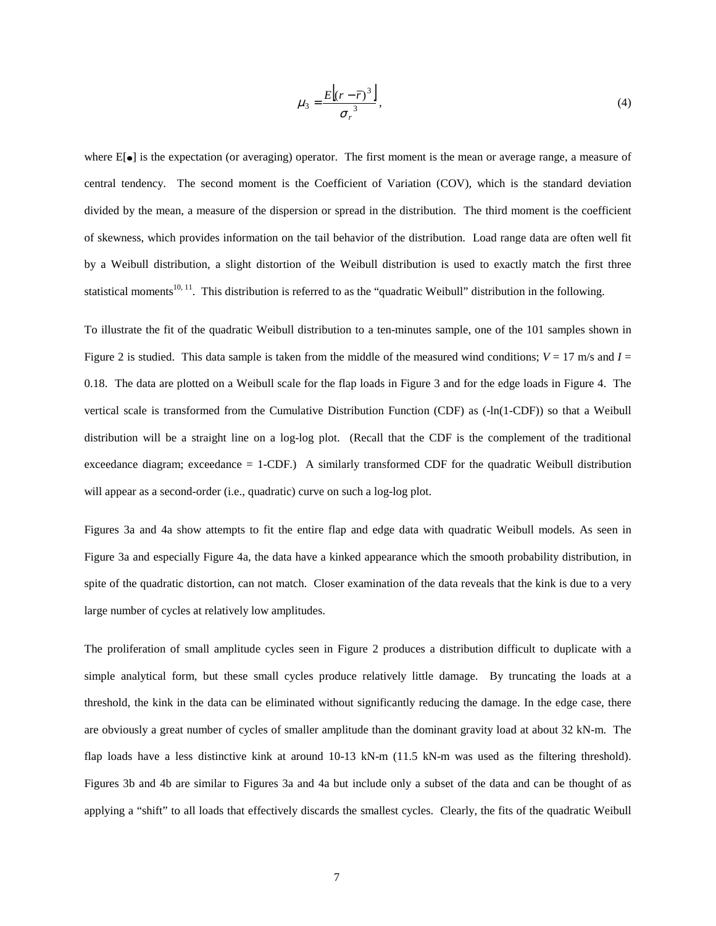$$
\mu_3 = \frac{E\left[(r - \overline{r})^3\right]}{\sigma_r^3},\tag{4}
$$

where  $E[\bullet]$  is the expectation (or averaging) operator. The first moment is the mean or average range, a measure of central tendency. The second moment is the Coefficient of Variation (COV), which is the standard deviation divided by the mean, a measure of the dispersion or spread in the distribution. The third moment is the coefficient of skewness, which provides information on the tail behavior of the distribution. Load range data are often well fit by a Weibull distribution, a slight distortion of the Weibull distribution is used to exactly match the first three statistical moments<sup>10, 11</sup>. This distribution is referred to as the "quadratic Weibull" distribution in the following.

To illustrate the fit of the quadratic Weibull distribution to a ten-minutes sample, one of the 101 samples shown in Figure 2 is studied. This data sample is taken from the middle of the measured wind conditions;  $V = 17$  m/s and  $I =$ 0.18. The data are plotted on a Weibull scale for the flap loads in Figure 3 and for the edge loads in Figure 4. The vertical scale is transformed from the Cumulative Distribution Function (CDF) as (-ln(1-CDF)) so that a Weibull distribution will be a straight line on a log-log plot. (Recall that the CDF is the complement of the traditional exceedance diagram; exceedance = 1-CDF.) A similarly transformed CDF for the quadratic Weibull distribution will appear as a second-order (i.e., quadratic) curve on such a log-log plot.

Figures 3a and 4a show attempts to fit the entire flap and edge data with quadratic Weibull models. As seen in Figure 3a and especially Figure 4a, the data have a kinked appearance which the smooth probability distribution, in spite of the quadratic distortion, can not match. Closer examination of the data reveals that the kink is due to a very large number of cycles at relatively low amplitudes.

The proliferation of small amplitude cycles seen in Figure 2 produces a distribution difficult to duplicate with a simple analytical form, but these small cycles produce relatively little damage. By truncating the loads at a threshold, the kink in the data can be eliminated without significantly reducing the damage. In the edge case, there are obviously a great number of cycles of smaller amplitude than the dominant gravity load at about 32 kN-m. The flap loads have a less distinctive kink at around 10-13 kN-m (11.5 kN-m was used as the filtering threshold). Figures 3b and 4b are similar to Figures 3a and 4a but include only a subset of the data and can be thought of as applying a "shift" to all loads that effectively discards the smallest cycles. Clearly, the fits of the quadratic Weibull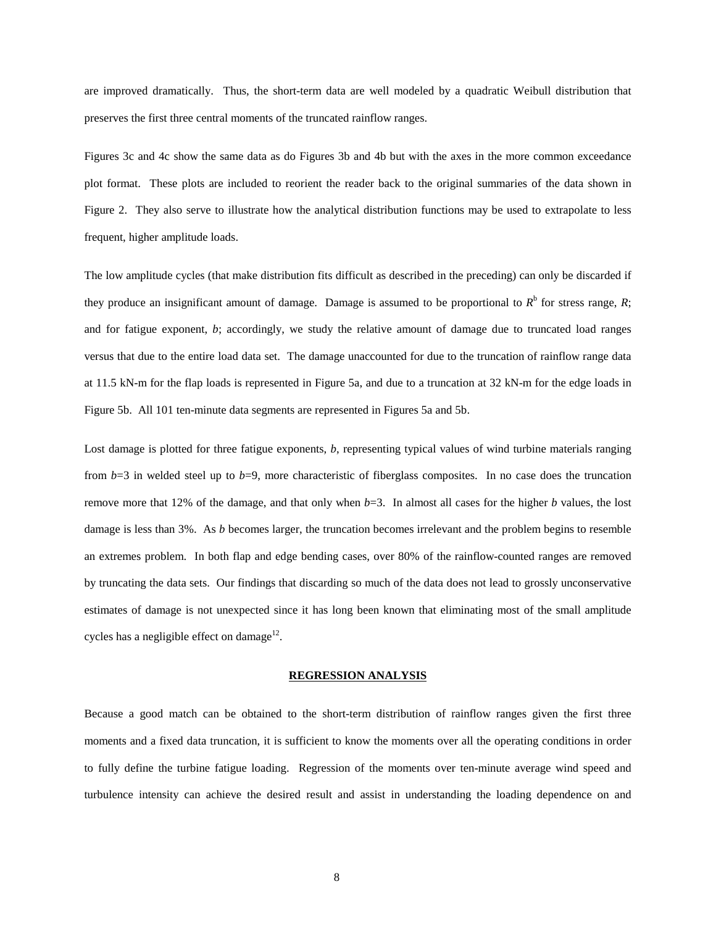are improved dramatically. Thus, the short-term data are well modeled by a quadratic Weibull distribution that preserves the first three central moments of the truncated rainflow ranges.

Figures 3c and 4c show the same data as do Figures 3b and 4b but with the axes in the more common exceedance plot format. These plots are included to reorient the reader back to the original summaries of the data shown in Figure 2. They also serve to illustrate how the analytical distribution functions may be used to extrapolate to less frequent, higher amplitude loads.

The low amplitude cycles (that make distribution fits difficult as described in the preceding) can only be discarded if they produce an insignificant amount of damage. Damage is assumed to be proportional to  $R<sup>b</sup>$  for stress range,  $R$ ; and for fatigue exponent, *b*; accordingly, we study the relative amount of damage due to truncated load ranges versus that due to the entire load data set. The damage unaccounted for due to the truncation of rainflow range data at 11.5 kN-m for the flap loads is represented in Figure 5a, and due to a truncation at 32 kN-m for the edge loads in Figure 5b. All 101 ten-minute data segments are represented in Figures 5a and 5b.

Lost damage is plotted for three fatigue exponents, *b*, representing typical values of wind turbine materials ranging from *b*=3 in welded steel up to *b*=9, more characteristic of fiberglass composites. In no case does the truncation remove more that 12% of the damage, and that only when *b*=3. In almost all cases for the higher *b* values, the lost damage is less than 3%. As *b* becomes larger, the truncation becomes irrelevant and the problem begins to resemble an extremes problem. In both flap and edge bending cases, over 80% of the rainflow-counted ranges are removed by truncating the data sets. Our findings that discarding so much of the data does not lead to grossly unconservative estimates of damage is not unexpected since it has long been known that eliminating most of the small amplitude cycles has a negligible effect on damage<sup>12</sup>.

# **REGRESSION ANALYSIS**

Because a good match can be obtained to the short-term distribution of rainflow ranges given the first three moments and a fixed data truncation, it is sufficient to know the moments over all the operating conditions in order to fully define the turbine fatigue loading. Regression of the moments over ten-minute average wind speed and turbulence intensity can achieve the desired result and assist in understanding the loading dependence on and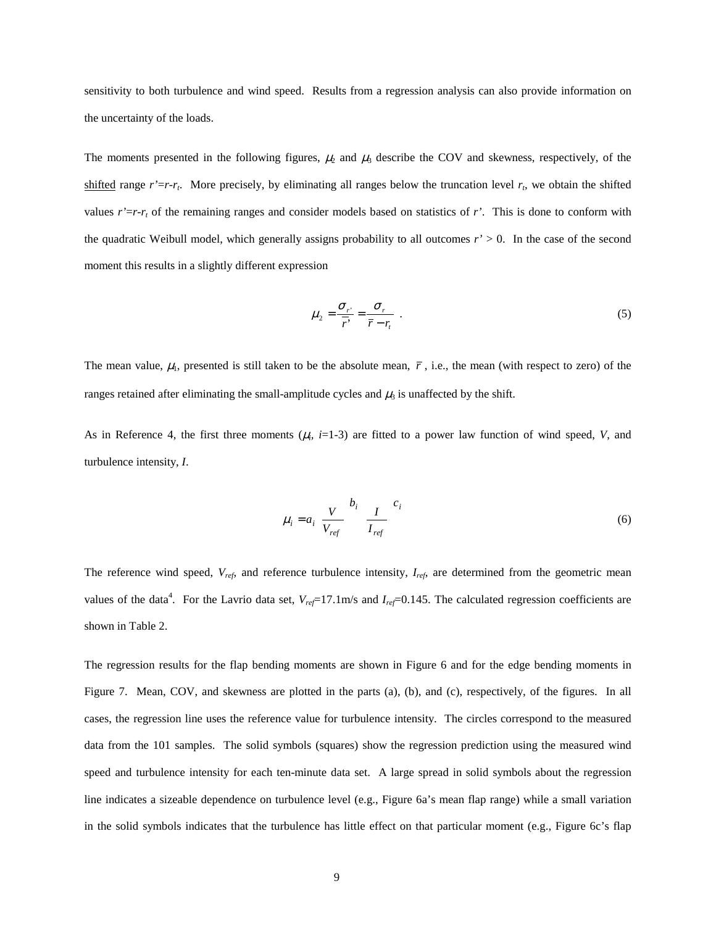sensitivity to both turbulence and wind speed. Results from a regression analysis can also provide information on the uncertainty of the loads.

The moments presented in the following figures,  $\mu_2$  and  $\mu_3$  describe the COV and skewness, respectively, of the shifted range *r'*=*r-r<sup>t</sup>* . More precisely, by eliminating all ranges below the truncation level *r<sup>t</sup>* , we obtain the shifted values  $r' = r - r_t$  of the remaining ranges and consider models based on statistics of  $r'$ . This is done to conform with the quadratic Weibull model, which generally assigns probability to all outcomes *r'* > 0. In the case of the second moment this results in a slightly different expression

$$
\mu_2 = \frac{\sigma_r}{\overline{r}^2} = \frac{\sigma_r}{\overline{r} - r_t} \tag{5}
$$

The mean value,  $\mu_1$ , presented is still taken to be the absolute mean,  $\bar{r}$ , i.e., the mean (with respect to zero) of the ranges retained after eliminating the small-amplitude cycles and  $\mu_3$  is unaffected by the shift.

As in Reference 4, the first three moments  $(\mu_i$ ,  $i=1-3)$  are fitted to a power law function of wind speed, *V*, and turbulence intensity, *I*.

$$
\mu_i = a_i \left(\frac{V}{V_{ref}}\right)^{b_i} \left(\frac{I}{I_{ref}}\right)^{c_i}
$$
\n(6)

The reference wind speed,  $V_{ref}$ , and reference turbulence intensity,  $I_{ref}$ , are determined from the geometric mean values of the data<sup>4</sup>. For the Lavrio data set,  $V_{ref}=17.1 \text{m/s}$  and  $I_{ref}=0.145$ . The calculated regression coefficients are shown in Table 2.

The regression results for the flap bending moments are shown in Figure 6 and for the edge bending moments in Figure 7. Mean, COV, and skewness are plotted in the parts (a), (b), and (c), respectively, of the figures. In all cases, the regression line uses the reference value for turbulence intensity. The circles correspond to the measured data from the 101 samples. The solid symbols (squares) show the regression prediction using the measured wind speed and turbulence intensity for each ten-minute data set. A large spread in solid symbols about the regression line indicates a sizeable dependence on turbulence level (e.g., Figure 6a's mean flap range) while a small variation in the solid symbols indicates that the turbulence has little effect on that particular moment (e.g., Figure 6c's flap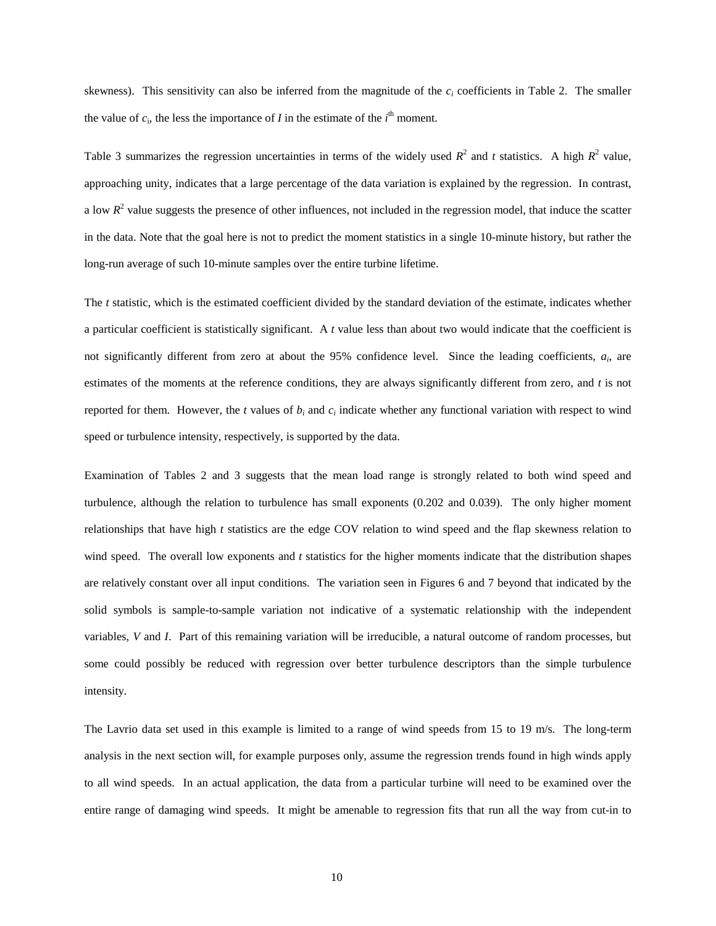skewness). This sensitivity can also be inferred from the magnitude of the *c<sup>i</sup>* coefficients in Table 2. The smaller the value of  $c_i$ , the less the importance of *I* in the estimate of the  $i^{\text{th}}$  moment.

Table 3 summarizes the regression uncertainties in terms of the widely used  $R^2$  and t statistics. A high  $R^2$  value, approaching unity, indicates that a large percentage of the data variation is explained by the regression. In contrast, a low  $R<sup>2</sup>$  value suggests the presence of other influences, not included in the regression model, that induce the scatter in the data. Note that the goal here is not to predict the moment statistics in a single 10-minute history, but rather the long-run average of such 10-minute samples over the entire turbine lifetime.

The *t* statistic, which is the estimated coefficient divided by the standard deviation of the estimate, indicates whether a particular coefficient is statistically significant. A *t* value less than about two would indicate that the coefficient is not significantly different from zero at about the 95% confidence level. Since the leading coefficients, *a<sup>i</sup>* , are estimates of the moments at the reference conditions, they are always significantly different from zero, and *t* is not reported for them. However, the *t* values of  $b_i$  and  $c_i$  indicate whether any functional variation with respect to wind speed or turbulence intensity, respectively, is supported by the data.

Examination of Tables 2 and 3 suggests that the mean load range is strongly related to both wind speed and turbulence, although the relation to turbulence has small exponents (0.202 and 0.039). The only higher moment relationships that have high *t* statistics are the edge COV relation to wind speed and the flap skewness relation to wind speed. The overall low exponents and *t* statistics for the higher moments indicate that the distribution shapes are relatively constant over all input conditions. The variation seen in Figures 6 and 7 beyond that indicated by the solid symbols is sample-to-sample variation not indicative of a systematic relationship with the independent variables, *V* and *I*. Part of this remaining variation will be irreducible, a natural outcome of random processes, but some could possibly be reduced with regression over better turbulence descriptors than the simple turbulence intensity.

The Lavrio data set used in this example is limited to a range of wind speeds from 15 to 19 m/s. The long-term analysis in the next section will, for example purposes only, assume the regression trends found in high winds apply to all wind speeds. In an actual application, the data from a particular turbine will need to be examined over the entire range of damaging wind speeds. It might be amenable to regression fits that run all the way from cut-in to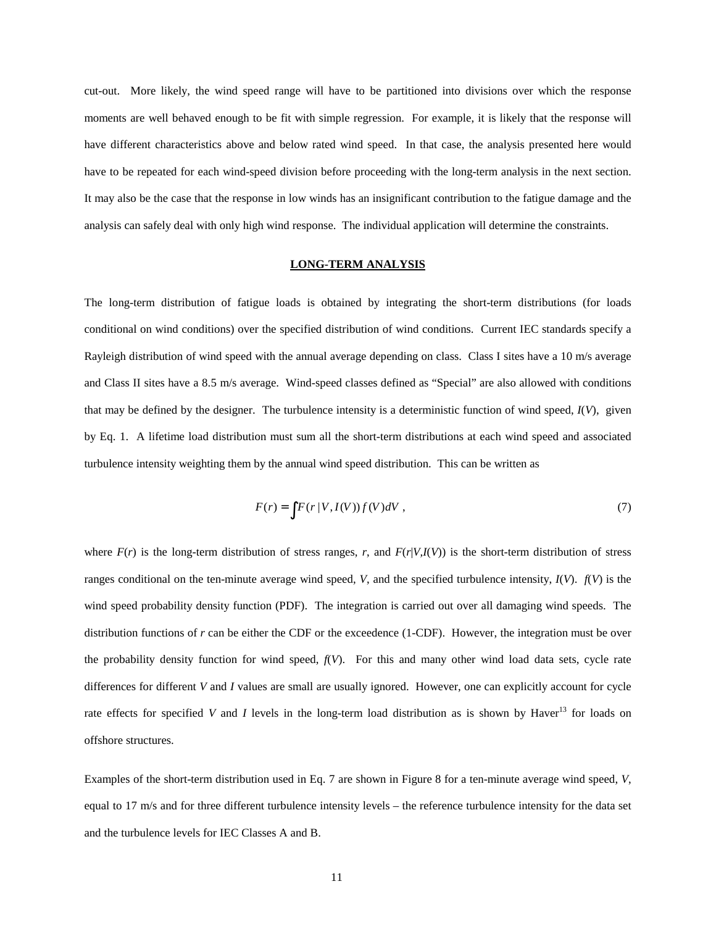cut-out. More likely, the wind speed range will have to be partitioned into divisions over which the response moments are well behaved enough to be fit with simple regression. For example, it is likely that the response will have different characteristics above and below rated wind speed. In that case, the analysis presented here would have to be repeated for each wind-speed division before proceeding with the long-term analysis in the next section. It may also be the case that the response in low winds has an insignificant contribution to the fatigue damage and the analysis can safely deal with only high wind response. The individual application will determine the constraints.

## **LONG-TERM ANALYSIS**

The long-term distribution of fatigue loads is obtained by integrating the short-term distributions (for loads conditional on wind conditions) over the specified distribution of wind conditions. Current IEC standards specify a Rayleigh distribution of wind speed with the annual average depending on class. Class I sites have a 10 m/s average and Class II sites have a 8.5 m/s average. Wind-speed classes defined as "Special" are also allowed with conditions that may be defined by the designer. The turbulence intensity is a deterministic function of wind speed, *I*(*V*), given by Eq. 1. A lifetime load distribution must sum all the short-term distributions at each wind speed and associated turbulence intensity weighting them by the annual wind speed distribution. This can be written as

$$
F(r) = \int F(r|V, I(V)) f(V) dV,
$$
\n(7)

where  $F(r)$  is the long-term distribution of stress ranges, r, and  $F(r|V,I(V))$  is the short-term distribution of stress ranges conditional on the ten-minute average wind speed, *V*, and the specified turbulence intensity, *I*(*V*). *f*(*V*) is the wind speed probability density function (PDF). The integration is carried out over all damaging wind speeds. The distribution functions of *r* can be either the CDF or the exceedence (1-CDF). However, the integration must be over the probability density function for wind speed,  $f(V)$ . For this and many other wind load data sets, cycle rate differences for different *V* and *I* values are small are usually ignored. However, one can explicitly account for cycle rate effects for specified *V* and *I* levels in the long-term load distribution as is shown by Haver<sup>13</sup> for loads on offshore structures.

Examples of the short-term distribution used in Eq. 7 are shown in Figure 8 for a ten-minute average wind speed, *V*, equal to 17 m/s and for three different turbulence intensity levels – the reference turbulence intensity for the data set and the turbulence levels for IEC Classes A and B.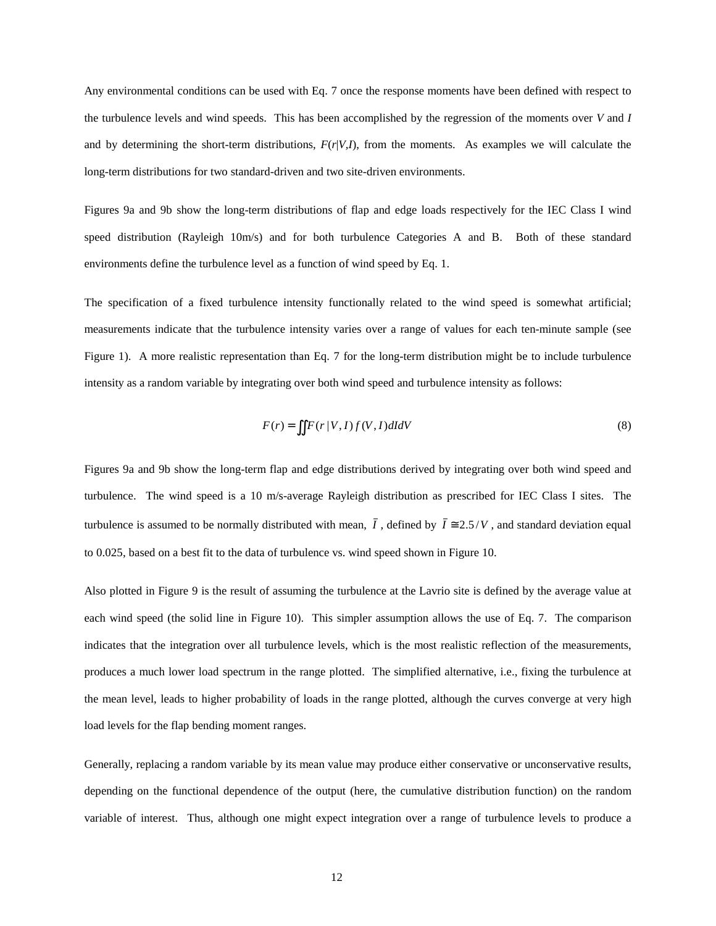Any environmental conditions can be used with Eq. 7 once the response moments have been defined with respect to the turbulence levels and wind speeds. This has been accomplished by the regression of the moments over *V* and *I* and by determining the short-term distributions,  $F(r|V,I)$ , from the moments. As examples we will calculate the long-term distributions for two standard-driven and two site-driven environments.

Figures 9a and 9b show the long-term distributions of flap and edge loads respectively for the IEC Class I wind speed distribution (Rayleigh 10m/s) and for both turbulence Categories A and B. Both of these standard environments define the turbulence level as a function of wind speed by Eq. 1.

The specification of a fixed turbulence intensity functionally related to the wind speed is somewhat artificial; measurements indicate that the turbulence intensity varies over a range of values for each ten-minute sample (see Figure 1). A more realistic representation than Eq. 7 for the long-term distribution might be to include turbulence intensity as a random variable by integrating over both wind speed and turbulence intensity as follows:

$$
F(r) = \iint F(r|V, I) f(V, I) dI dV
$$
\n(8)

Figures 9a and 9b show the long-term flap and edge distributions derived by integrating over both wind speed and turbulence. The wind speed is a 10 m/s-average Rayleigh distribution as prescribed for IEC Class I sites. The turbulence is assumed to be normally distributed with mean,  $\bar{I}$ , defined by  $\bar{I} \approx 2.5/V$ , and standard deviation equal to 0.025, based on a best fit to the data of turbulence vs. wind speed shown in Figure 10.

Also plotted in Figure 9 is the result of assuming the turbulence at the Lavrio site is defined by the average value at each wind speed (the solid line in Figure 10). This simpler assumption allows the use of Eq. 7. The comparison indicates that the integration over all turbulence levels, which is the most realistic reflection of the measurements, produces a much lower load spectrum in the range plotted. The simplified alternative, i.e., fixing the turbulence at the mean level, leads to higher probability of loads in the range plotted, although the curves converge at very high load levels for the flap bending moment ranges.

Generally, replacing a random variable by its mean value may produce either conservative or unconservative results, depending on the functional dependence of the output (here, the cumulative distribution function) on the random variable of interest. Thus, although one might expect integration over a range of turbulence levels to produce a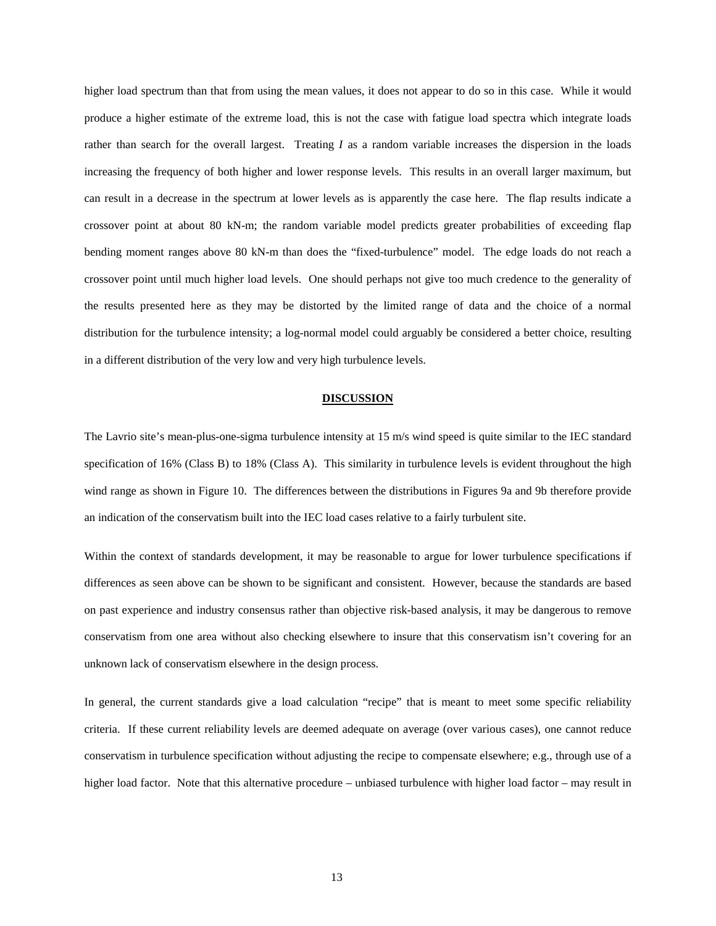higher load spectrum than that from using the mean values, it does not appear to do so in this case. While it would produce a higher estimate of the extreme load, this is not the case with fatigue load spectra which integrate loads rather than search for the overall largest. Treating *I* as a random variable increases the dispersion in the loads increasing the frequency of both higher and lower response levels. This results in an overall larger maximum, but can result in a decrease in the spectrum at lower levels as is apparently the case here. The flap results indicate a crossover point at about 80 kN-m; the random variable model predicts greater probabilities of exceeding flap bending moment ranges above 80 kN-m than does the "fixed-turbulence" model. The edge loads do not reach a crossover point until much higher load levels. One should perhaps not give too much credence to the generality of the results presented here as they may be distorted by the limited range of data and the choice of a normal distribution for the turbulence intensity; a log-normal model could arguably be considered a better choice, resulting in a different distribution of the very low and very high turbulence levels.

# **DISCUSSION**

The Lavrio site's mean-plus-one-sigma turbulence intensity at 15 m/s wind speed is quite similar to the IEC standard specification of 16% (Class B) to 18% (Class A). This similarity in turbulence levels is evident throughout the high wind range as shown in Figure 10. The differences between the distributions in Figures 9a and 9b therefore provide an indication of the conservatism built into the IEC load cases relative to a fairly turbulent site.

Within the context of standards development, it may be reasonable to argue for lower turbulence specifications if differences as seen above can be shown to be significant and consistent. However, because the standards are based on past experience and industry consensus rather than objective risk-based analysis, it may be dangerous to remove conservatism from one area without also checking elsewhere to insure that this conservatism isn't covering for an unknown lack of conservatism elsewhere in the design process.

In general, the current standards give a load calculation "recipe" that is meant to meet some specific reliability criteria. If these current reliability levels are deemed adequate on average (over various cases), one cannot reduce conservatism in turbulence specification without adjusting the recipe to compensate elsewhere; e.g., through use of a higher load factor. Note that this alternative procedure – unbiased turbulence with higher load factor – may result in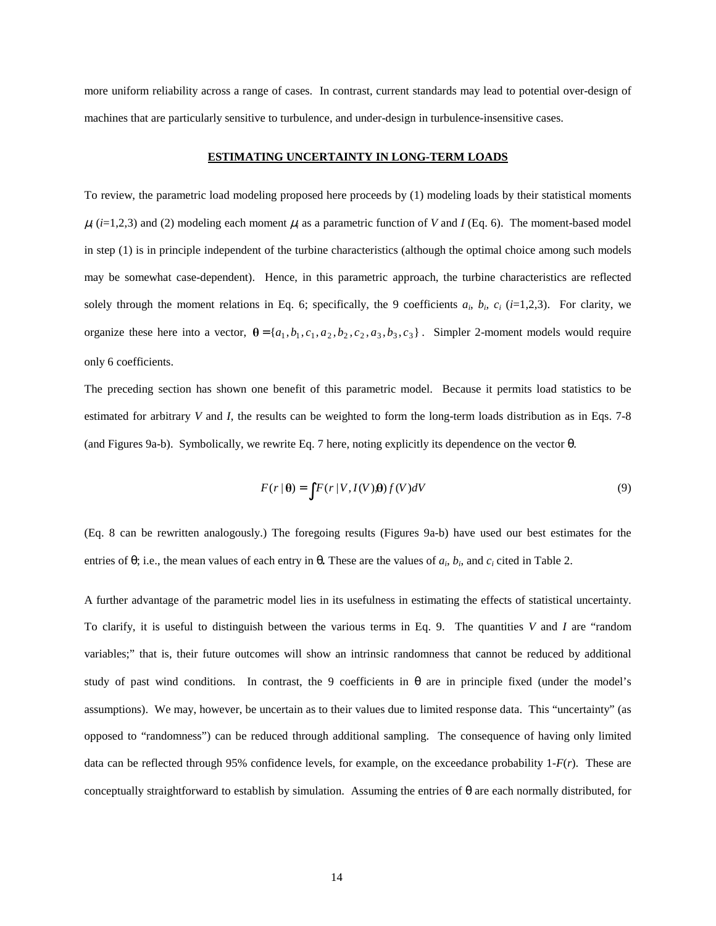more uniform reliability across a range of cases. In contrast, current standards may lead to potential over-design of machines that are particularly sensitive to turbulence, and under-design in turbulence-insensitive cases.

## **ESTIMATING UNCERTAINTY IN LONG-TERM LOADS**

To review, the parametric load modeling proposed here proceeds by (1) modeling loads by their statistical moments  $\mu_i$  (*i*=1,2,3) and (2) modeling each moment  $\mu_i$  as a parametric function of V and I (Eq. 6). The moment-based model in step (1) is in principle independent of the turbine characteristics (although the optimal choice among such models may be somewhat case-dependent). Hence, in this parametric approach, the turbine characteristics are reflected solely through the moment relations in Eq. 6; specifically, the 9 coefficients  $a_i$ ,  $b_i$ ,  $c_i$  ( $i=1,2,3$ ). For clarity, we organize these here into a vector,  $\theta = \{a_1, b_1, c_1, a_2, b_2, c_2, a_3, b_3, c_3\}$ . Simpler 2-moment models would require only 6 coefficients.

The preceding section has shown one benefit of this parametric model. Because it permits load statistics to be estimated for arbitrary *V* and *I*, the results can be weighted to form the long-term loads distribution as in Eqs. 7-8 (and Figures 9a-b). Symbolically, we rewrite Eq. 7 here, noting explicitly its dependence on the vector θ.

$$
F(r | \theta) = \int F(r | V, I(V), \theta) f(V) dV
$$
\n(9)

(Eq. 8 can be rewritten analogously.) The foregoing results (Figures 9a-b) have used our best estimates for the entries of θ; i.e., the mean values of each entry in θ*.* These are the values of *a<sup>i</sup>* , *b<sup>i</sup>* , and *c<sup>i</sup>* cited in Table 2.

A further advantage of the parametric model lies in its usefulness in estimating the effects of statistical uncertainty. To clarify, it is useful to distinguish between the various terms in Eq. 9. The quantities *V* and *I* are "random variables;" that is, their future outcomes will show an intrinsic randomness that cannot be reduced by additional study of past wind conditions. In contrast, the 9 coefficients in  $\theta$  are in principle fixed (under the model's assumptions). We may, however, be uncertain as to their values due to limited response data. This "uncertainty" (as opposed to "randomness") can be reduced through additional sampling. The consequence of having only limited data can be reflected through 95% confidence levels, for example, on the exceedance probability 1-*F*(*r*). These are conceptually straightforward to establish by simulation. Assuming the entries of θ are each normally distributed, for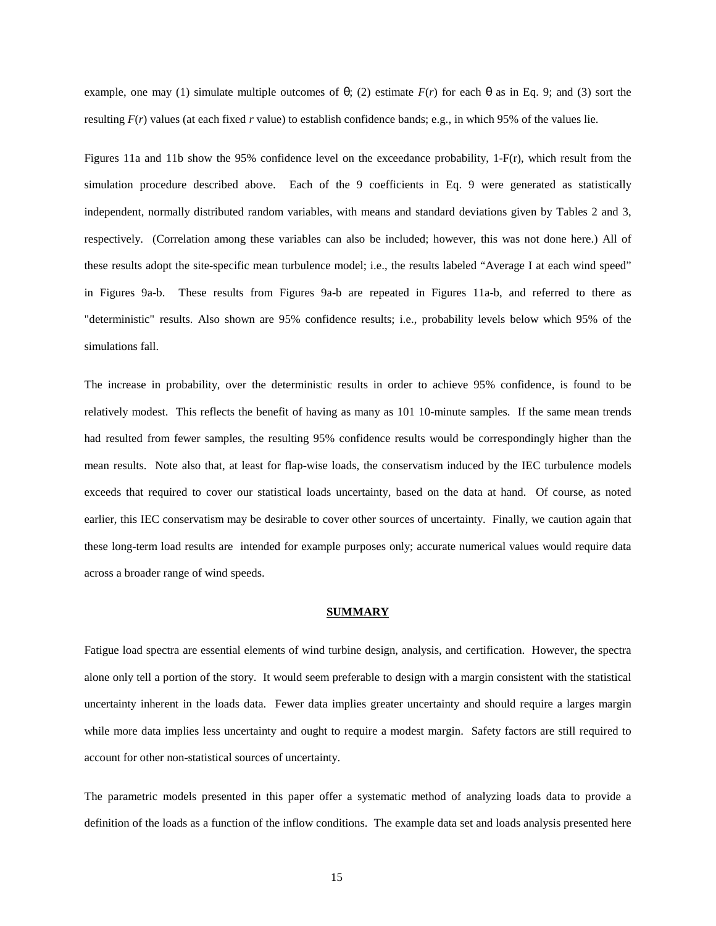example, one may (1) simulate multiple outcomes of  $\theta$ ; (2) estimate  $F(r)$  for each  $\theta$  as in Eq. 9; and (3) sort the resulting  $F(r)$  values (at each fixed *r* value) to establish confidence bands; e.g., in which 95% of the values lie.

Figures 11a and 11b show the 95% confidence level on the exceedance probability, 1-F(r), which result from the simulation procedure described above. Each of the 9 coefficients in Eq. 9 were generated as statistically independent, normally distributed random variables, with means and standard deviations given by Tables 2 and 3, respectively. (Correlation among these variables can also be included; however, this was not done here.) All of these results adopt the site-specific mean turbulence model; i.e., the results labeled "Average I at each wind speed" in Figures 9a-b. These results from Figures 9a-b are repeated in Figures 11a-b, and referred to there as "deterministic" results. Also shown are 95% confidence results; i.e., probability levels below which 95% of the simulations fall.

The increase in probability, over the deterministic results in order to achieve 95% confidence, is found to be relatively modest. This reflects the benefit of having as many as 101 10-minute samples. If the same mean trends had resulted from fewer samples, the resulting 95% confidence results would be correspondingly higher than the mean results. Note also that, at least for flap-wise loads, the conservatism induced by the IEC turbulence models exceeds that required to cover our statistical loads uncertainty, based on the data at hand. Of course, as noted earlier, this IEC conservatism may be desirable to cover other sources of uncertainty. Finally, we caution again that these long-term load results are intended for example purposes only; accurate numerical values would require data across a broader range of wind speeds.

## **SUMMARY**

Fatigue load spectra are essential elements of wind turbine design, analysis, and certification. However, the spectra alone only tell a portion of the story. It would seem preferable to design with a margin consistent with the statistical uncertainty inherent in the loads data. Fewer data implies greater uncertainty and should require a larges margin while more data implies less uncertainty and ought to require a modest margin. Safety factors are still required to account for other non-statistical sources of uncertainty.

The parametric models presented in this paper offer a systematic method of analyzing loads data to provide a definition of the loads as a function of the inflow conditions. The example data set and loads analysis presented here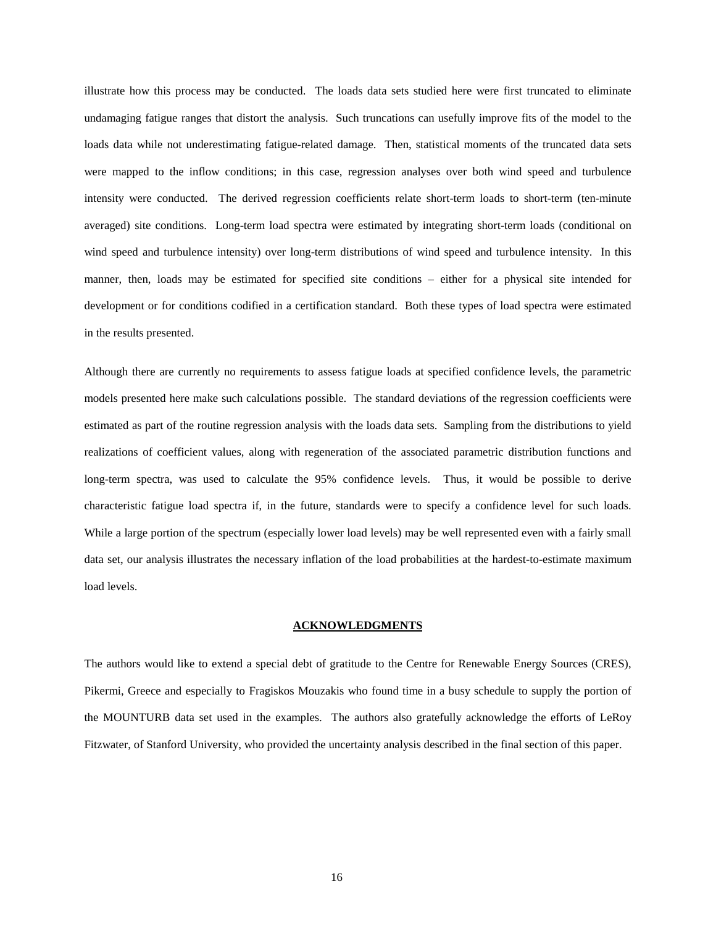illustrate how this process may be conducted. The loads data sets studied here were first truncated to eliminate undamaging fatigue ranges that distort the analysis. Such truncations can usefully improve fits of the model to the loads data while not underestimating fatigue-related damage. Then, statistical moments of the truncated data sets were mapped to the inflow conditions; in this case, regression analyses over both wind speed and turbulence intensity were conducted. The derived regression coefficients relate short-term loads to short-term (ten-minute averaged) site conditions. Long-term load spectra were estimated by integrating short-term loads (conditional on wind speed and turbulence intensity) over long-term distributions of wind speed and turbulence intensity. In this manner, then, loads may be estimated for specified site conditions – either for a physical site intended for development or for conditions codified in a certification standard. Both these types of load spectra were estimated in the results presented.

Although there are currently no requirements to assess fatigue loads at specified confidence levels, the parametric models presented here make such calculations possible. The standard deviations of the regression coefficients were estimated as part of the routine regression analysis with the loads data sets. Sampling from the distributions to yield realizations of coefficient values, along with regeneration of the associated parametric distribution functions and long-term spectra, was used to calculate the 95% confidence levels. Thus, it would be possible to derive characteristic fatigue load spectra if, in the future, standards were to specify a confidence level for such loads. While a large portion of the spectrum (especially lower load levels) may be well represented even with a fairly small data set, our analysis illustrates the necessary inflation of the load probabilities at the hardest-to-estimate maximum load levels.

### **ACKNOWLEDGMENTS**

The authors would like to extend a special debt of gratitude to the Centre for Renewable Energy Sources (CRES), Pikermi, Greece and especially to Fragiskos Mouzakis who found time in a busy schedule to supply the portion of the MOUNTURB data set used in the examples. The authors also gratefully acknowledge the efforts of LeRoy Fitzwater, of Stanford University, who provided the uncertainty analysis described in the final section of this paper.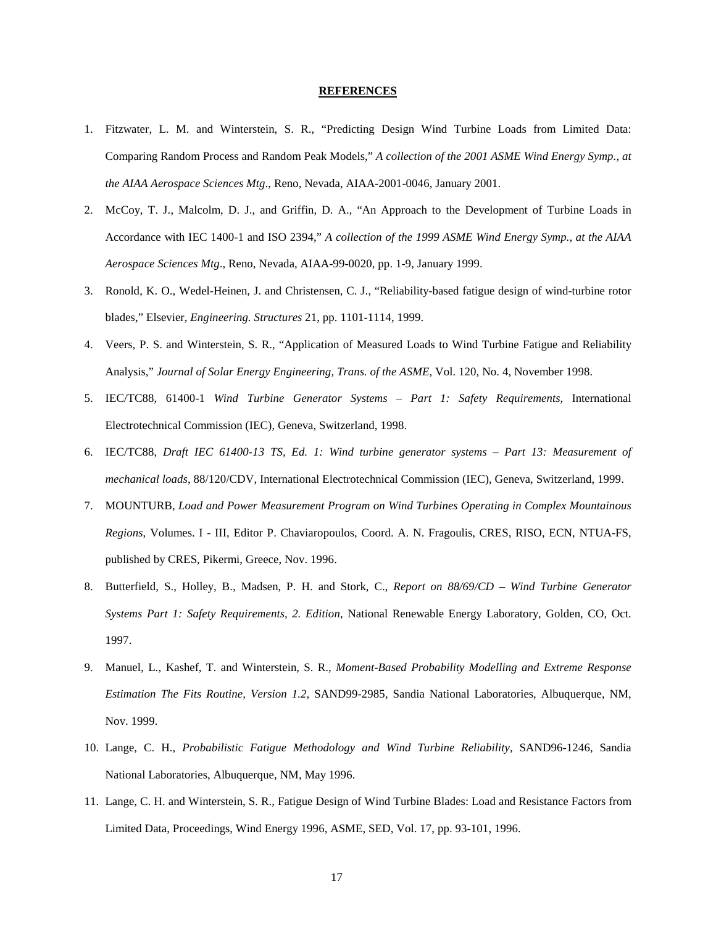## **REFERENCES**

- 1. Fitzwater, L. M. and Winterstein, S. R., "Predicting Design Wind Turbine Loads from Limited Data: Comparing Random Process and Random Peak Models," *A collection of the 2001 ASME Wind Energy Symp., at the AIAA Aerospace Sciences Mtg*., Reno, Nevada, AIAA-2001-0046, January 2001.
- 2. McCoy, T. J., Malcolm, D. J., and Griffin, D. A., "An Approach to the Development of Turbine Loads in Accordance with IEC 1400-1 and ISO 2394," *A collection of the 1999 ASME Wind Energy Symp., at the AIAA Aerospace Sciences Mtg*., Reno, Nevada, AIAA-99-0020, pp. 1-9, January 1999.
- 3. Ronold, K. O., Wedel-Heinen, J. and Christensen, C. J., "Reliability-based fatigue design of wind-turbine rotor blades," Elsevier, *Engineering. Structures* 21, pp. 1101-1114, 1999.
- 4. Veers, P. S. and Winterstein, S. R., "Application of Measured Loads to Wind Turbine Fatigue and Reliability Analysis," *Journal of Solar Energy Engineering, Trans. of the ASME*, Vol. 120, No. 4, November 1998.
- 5. IEC/TC88, 61400-1 *Wind Turbine Generator Systems – Part 1: Safety Requirements*, International Electrotechnical Commission (IEC), Geneva, Switzerland, 1998.
- 6. IEC/TC88, *Draft IEC 61400-13 TS, Ed. 1: Wind turbine generator systems – Part 13: Measurement of mechanical loads*, 88/120/CDV, International Electrotechnical Commission (IEC), Geneva, Switzerland, 1999.
- 7. MOUNTURB, *Load and Power Measurement Program on Wind Turbines Operating in Complex Mountainous Regions*, Volumes. I - III, Editor P. Chaviaropoulos, Coord. A. N. Fragoulis, CRES, RISO, ECN, NTUA-FS, published by CRES, Pikermi, Greece, Nov. 1996.
- 8. Butterfield, S., Holley, B., Madsen, P. H. and Stork, C., *Report on 88/69/CD – Wind Turbine Generator Systems Part 1: Safety Requirements, 2. Edition*, National Renewable Energy Laboratory, Golden, CO, Oct. 1997.
- 9. Manuel, L., Kashef, T. and Winterstein, S. R., *Moment-Based Probability Modelling and Extreme Response Estimation The Fits Routine, Version 1.2*, SAND99-2985, Sandia National Laboratories, Albuquerque, NM, Nov. 1999.
- 10. Lange, C. H., *Probabilistic Fatigue Methodology and Wind Turbine Reliability*, SAND96-1246, Sandia National Laboratories, Albuquerque, NM, May 1996.
- 11. Lange, C. H. and Winterstein, S. R., Fatigue Design of Wind Turbine Blades: Load and Resistance Factors from Limited Data, Proceedings, Wind Energy 1996, ASME, SED, Vol. 17, pp. 93-101, 1996.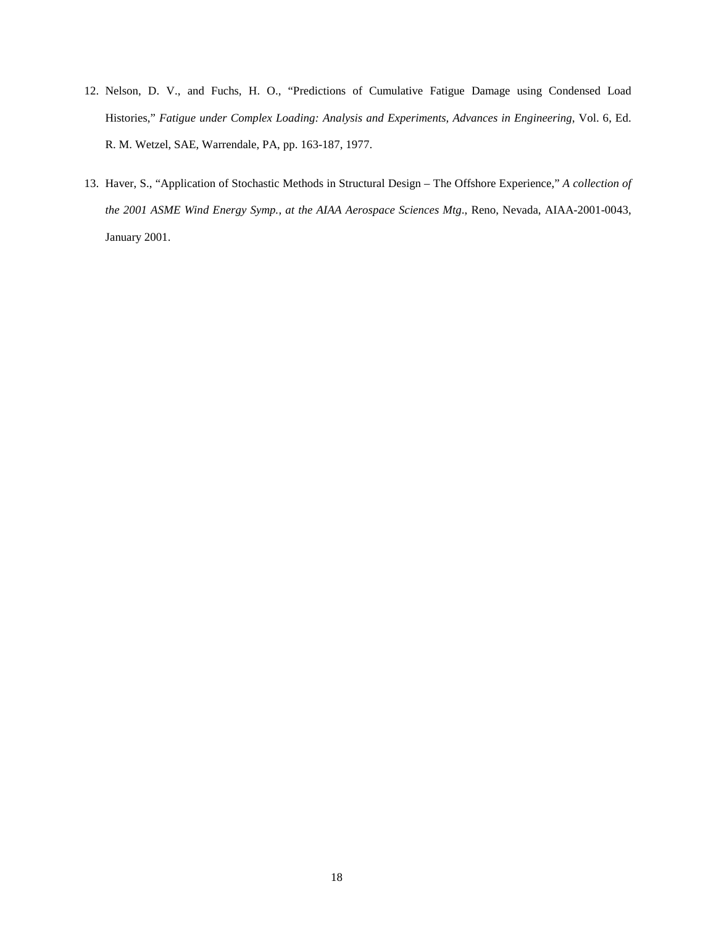- 12. Nelson, D. V., and Fuchs, H. O., "Predictions of Cumulative Fatigue Damage using Condensed Load Histories," *Fatigue under Complex Loading: Analysis and Experiments, Advances in Engineering*, Vol. 6, Ed. R. M. Wetzel, SAE, Warrendale, PA, pp. 163-187, 1977.
- 13. Haver, S., "Application of Stochastic Methods in Structural Design The Offshore Experience," *A collection of the 2001 ASME Wind Energy Symp., at the AIAA Aerospace Sciences Mtg*., Reno, Nevada, AIAA-2001-0043, January 2001.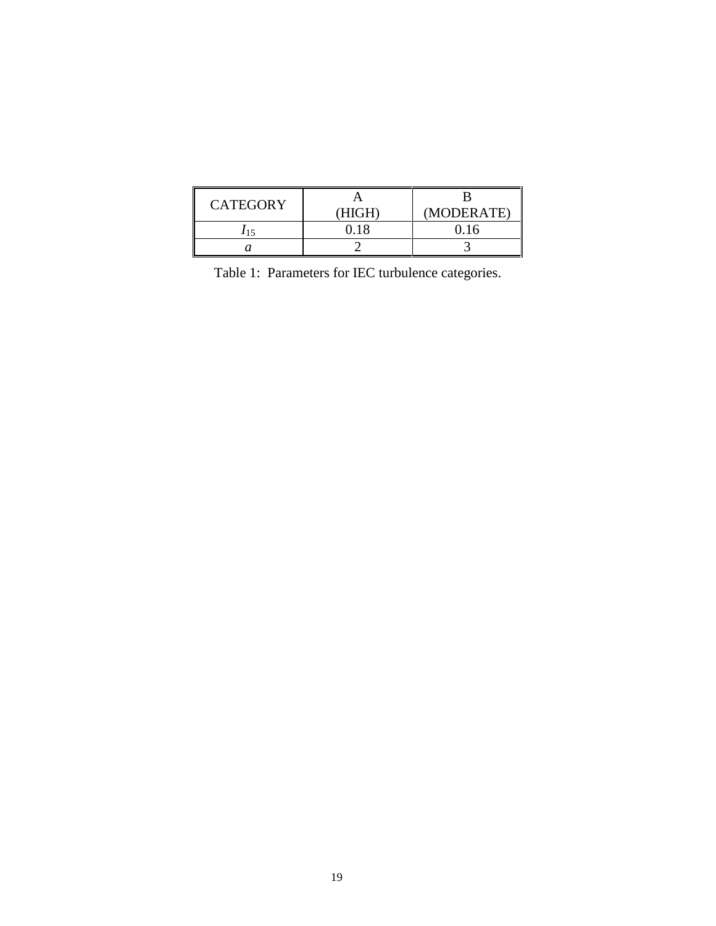| <b>CATEGORY</b> |        |            |
|-----------------|--------|------------|
|                 | (HIGH) | (MODERATE) |
|                 | በ 18   |            |
|                 |        |            |

Table 1: Parameters for IEC turbulence categories.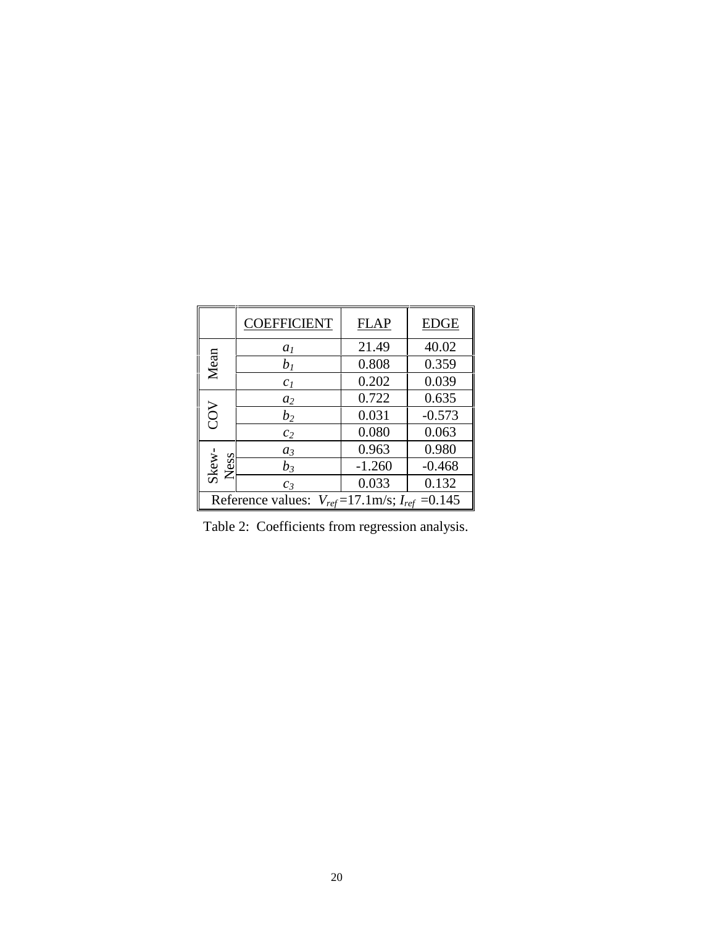|                                                        | <b>COEFFICIENT</b> | <b>FLAP</b> | <b>EDGE</b> |
|--------------------------------------------------------|--------------------|-------------|-------------|
| Mean                                                   | a <sub>I</sub>     | 21.49       | 40.02       |
|                                                        | $b_I$              | 0.808       | 0.359       |
|                                                        | c <sub>1</sub>     | 0.202       | 0.039       |
| COV                                                    | $a_2$              | 0.722       | 0.635       |
|                                                        | $b_2$              | 0.031       | $-0.573$    |
|                                                        | c <sub>2</sub>     | 0.080       | 0.063       |
| ess<br>Skew-                                           | $a_3$              | 0.963       | 0.980       |
|                                                        | $b_3$              | $-1.260$    | $-0.468$    |
|                                                        | $C_3$              | 0.033       | 0.132       |
| Reference values: $V_{ref}$ =17.1m/s; $I_{ref}$ =0.145 |                    |             |             |

Table 2: Coefficients from regression analysis.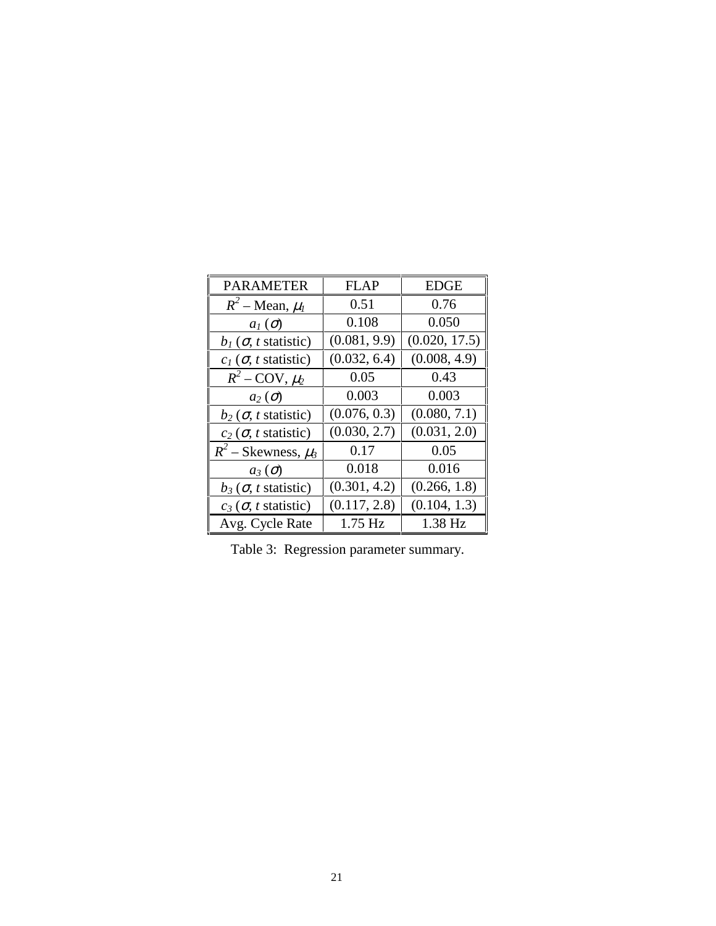| <b>PARAMETER</b>                | FLAP         | <b>EDGE</b>   |
|---------------------------------|--------------|---------------|
| $R^2$ – Mean, $\mu_l$           | 0.51         | 0.76          |
| $a_l(\sigma)$                   | 0.108        | 0.050         |
| $b_1$ ( $\sigma$ , t statistic) | (0.081, 9.9) | (0.020, 17.5) |
| $c_1$ ( $\sigma$ , t statistic) | (0.032, 6.4) | (0.008, 4.9)  |
| $R^2$ – COV, $\mu_2$            | 0.05         | 0.43          |
| $a_2(\sigma)$                   | 0.003        | 0.003         |
| $b_2$ ( $\sigma$ , t statistic) | (0.076, 0.3) | (0.080, 7.1)  |
| $c_2$ ( $\sigma$ , t statistic) | (0.030, 2.7) | (0.031, 2.0)  |
| $R^2$ – Skewness, $\mu_3$       | 0.17         | 0.05          |
| $a_3(\sigma)$                   | 0.018        | 0.016         |
| $b_3$ ( $\sigma$ , t statistic) | (0.301, 4.2) | (0.266, 1.8)  |
| $c_3$ ( $\sigma$ , t statistic) | (0.117, 2.8) | (0.104, 1.3)  |
| Avg. Cycle Rate                 | 1.75 Hz      | 1.38 Hz       |

Table 3: Regression parameter summary.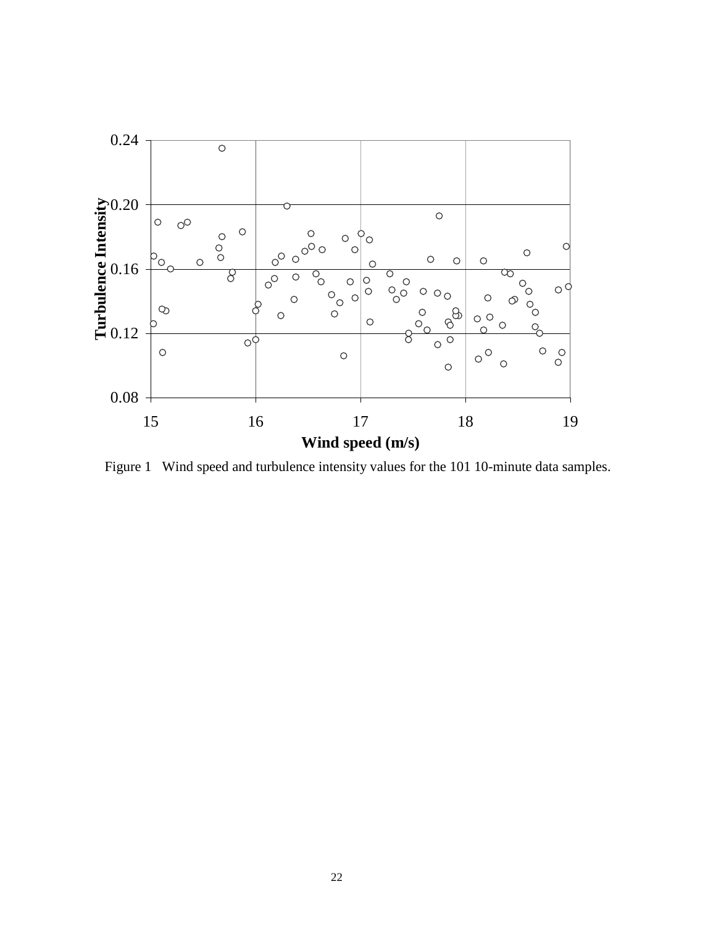

Figure 1 Wind speed and turbulence intensity values for the 101 10-minute data samples.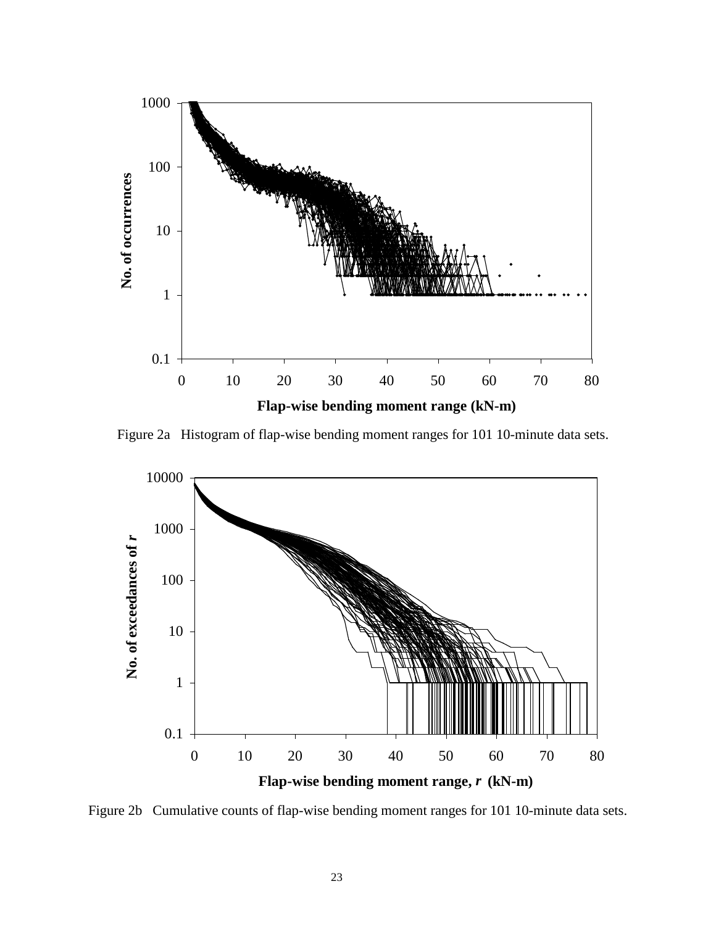

Figure 2a Histogram of flap-wise bending moment ranges for 101 10-minute data sets.



Figure 2b Cumulative counts of flap-wise bending moment ranges for 101 10-minute data sets.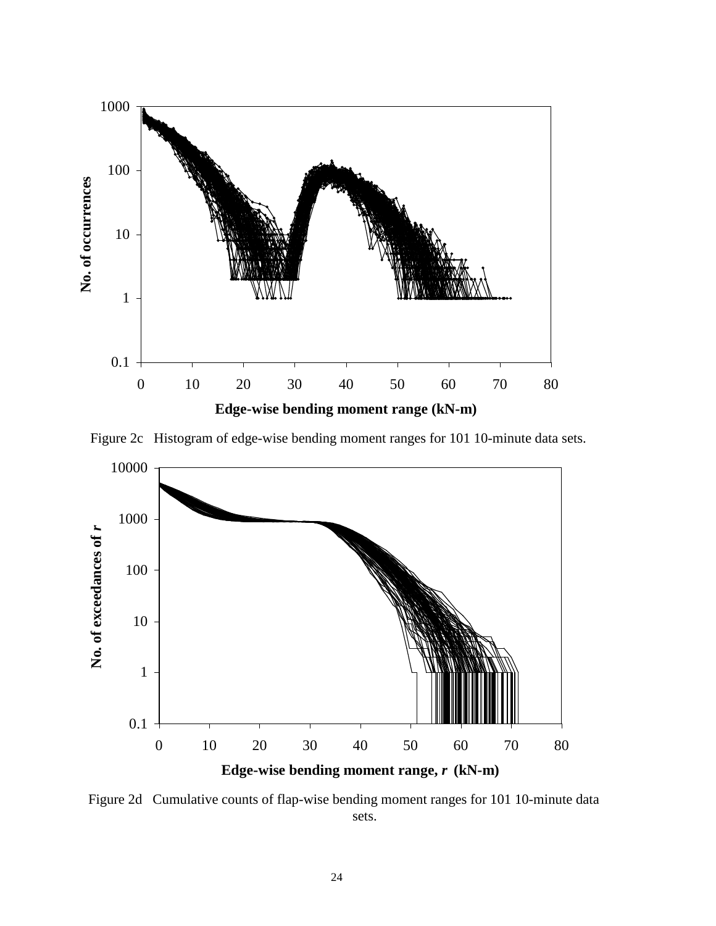

Figure 2c Histogram of edge-wise bending moment ranges for 101 10-minute data sets.



Figure 2d Cumulative counts of flap-wise bending moment ranges for 101 10-minute data sets.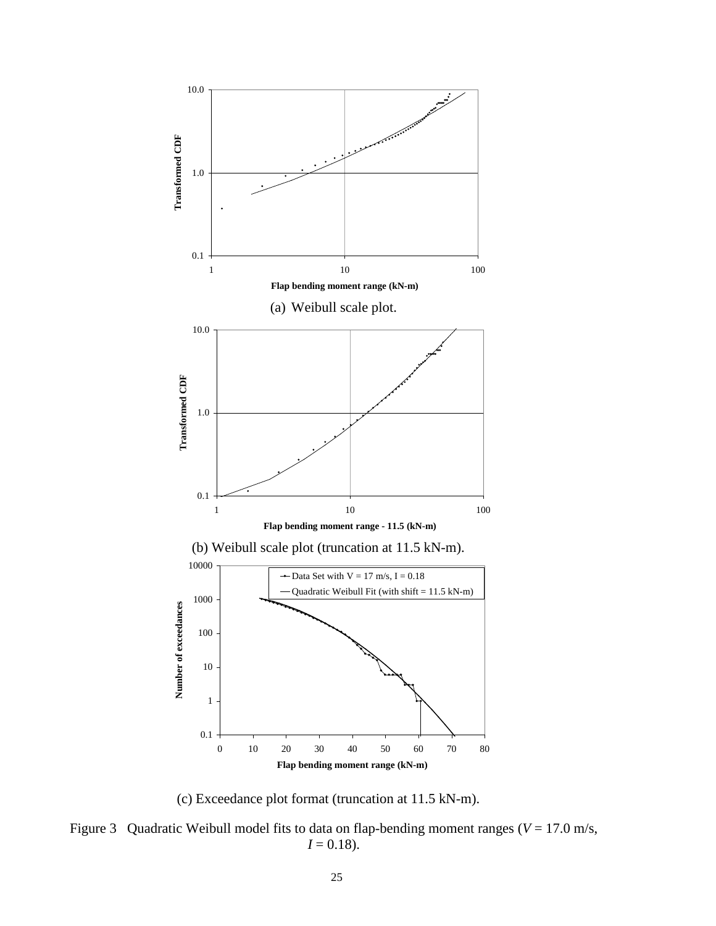

(c) Exceedance plot format (truncation at 11.5 kN-m).

Figure 3 Quadratic Weibull model fits to data on flap-bending moment ranges (*V* = 17.0 m/s,  $I = 0.18$ .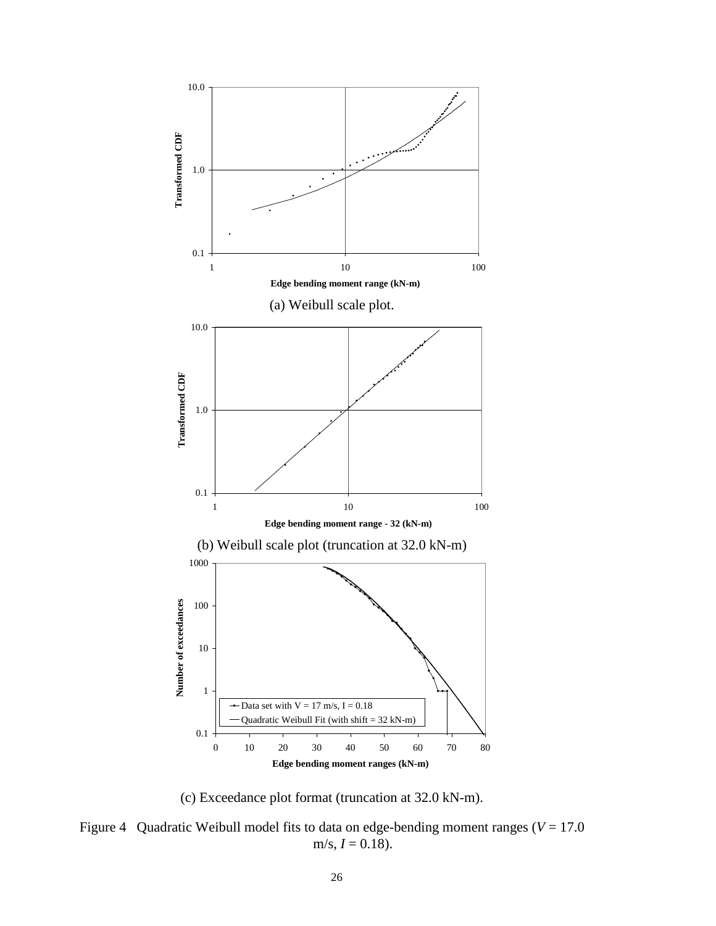

(c) Exceedance plot format (truncation at 32.0 kN-m).

Figure 4 Quadratic Weibull model fits to data on edge-bending moment ranges ( $V = 17.0$ )  $m/s$ ,  $I = 0.18$ ).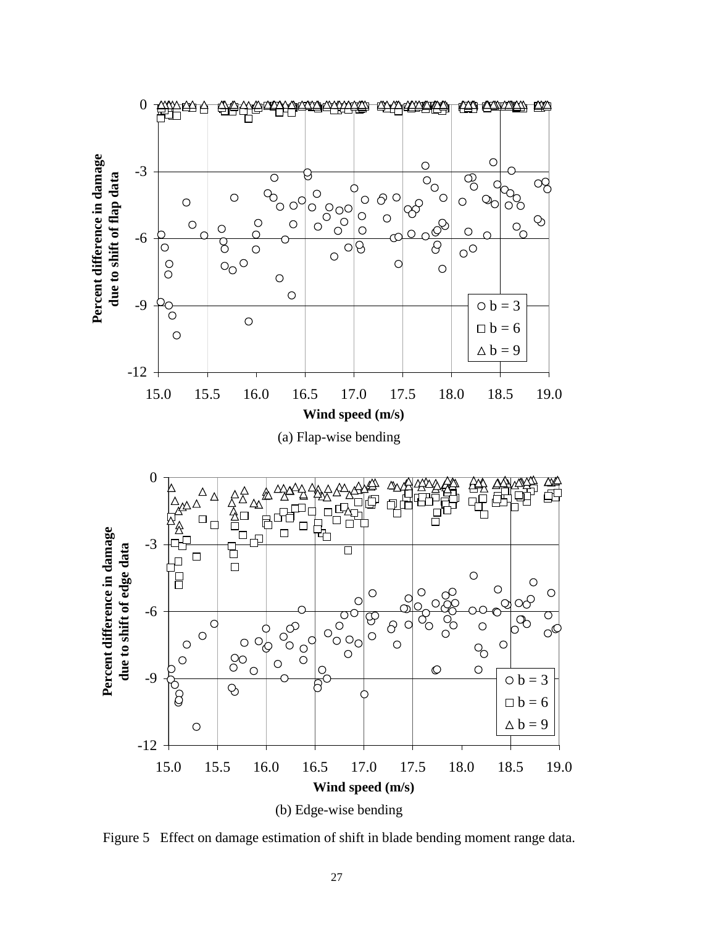

Figure 5 Effect on damage estimation of shift in blade bending moment range data.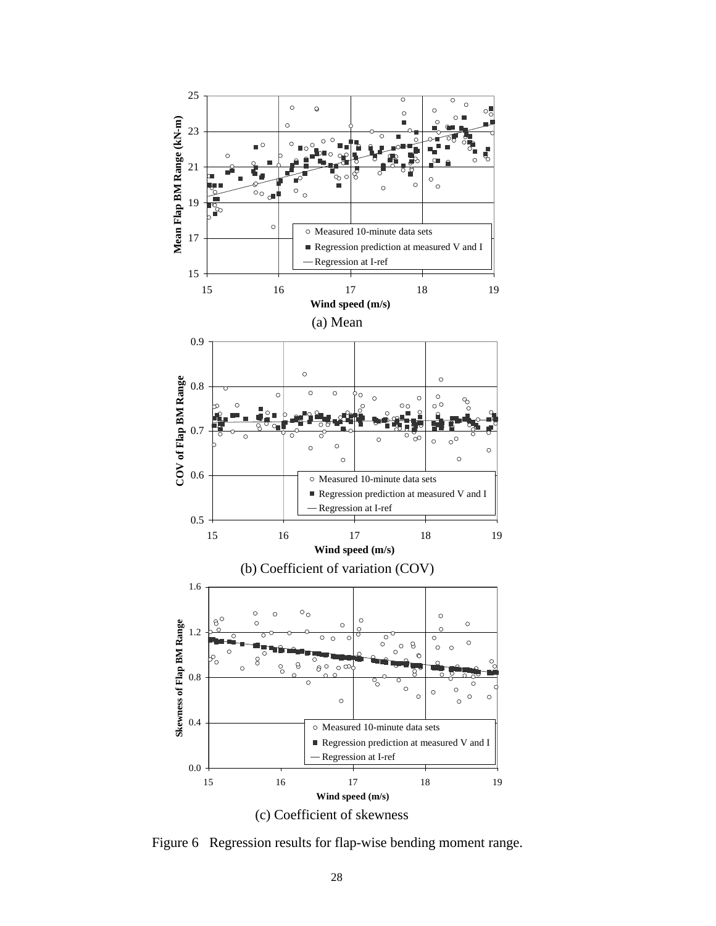

Figure 6 Regression results for flap-wise bending moment range.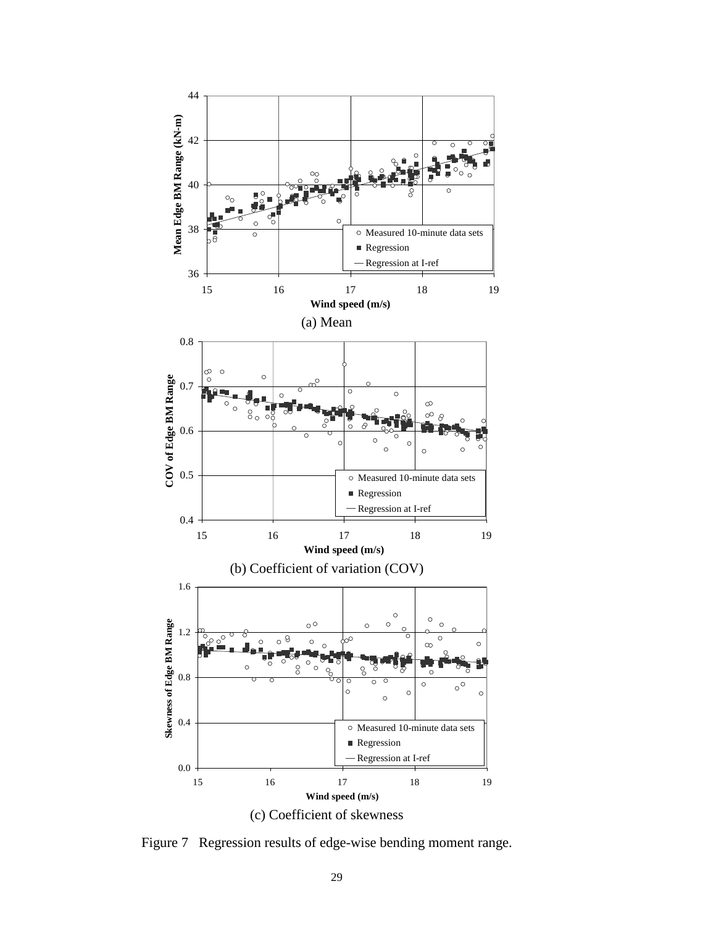

Figure 7 Regression results of edge-wise bending moment range.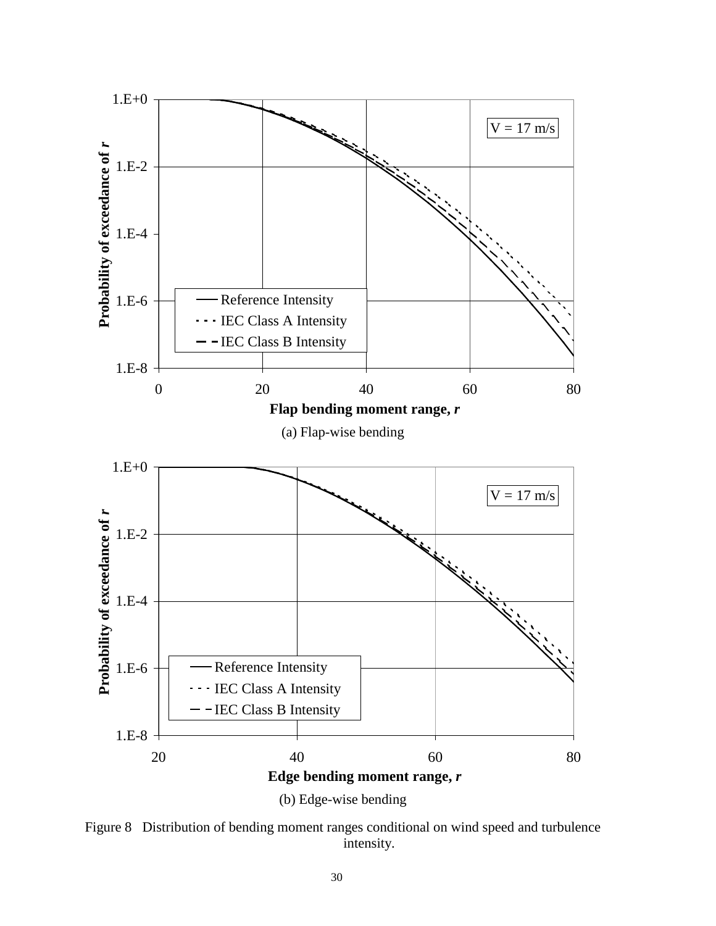

Figure 8 Distribution of bending moment ranges conditional on wind speed and turbulence intensity.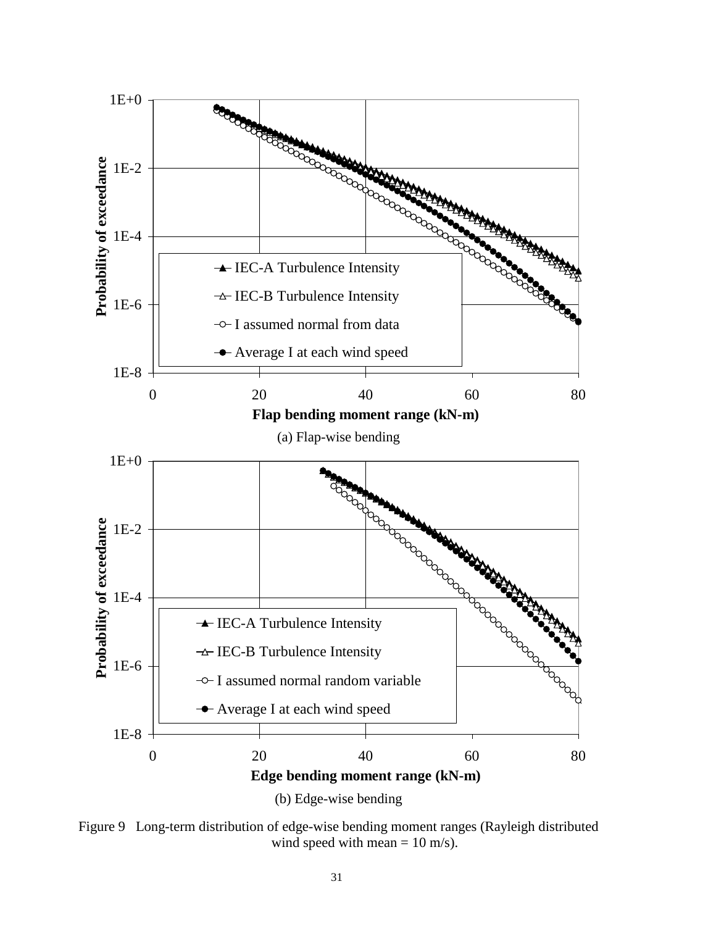

Figure 9 Long-term distribution of edge-wise bending moment ranges (Rayleigh distributed wind speed with mean  $= 10$  m/s).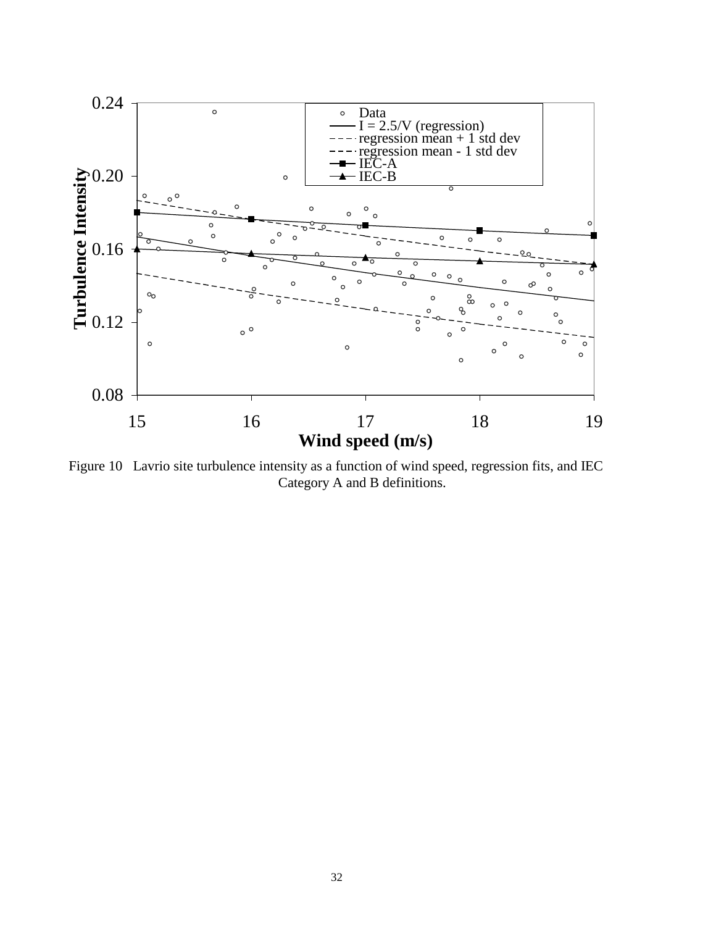

Figure 10 Lavrio site turbulence intensity as a function of wind speed, regression fits, and IEC Category A and B definitions.